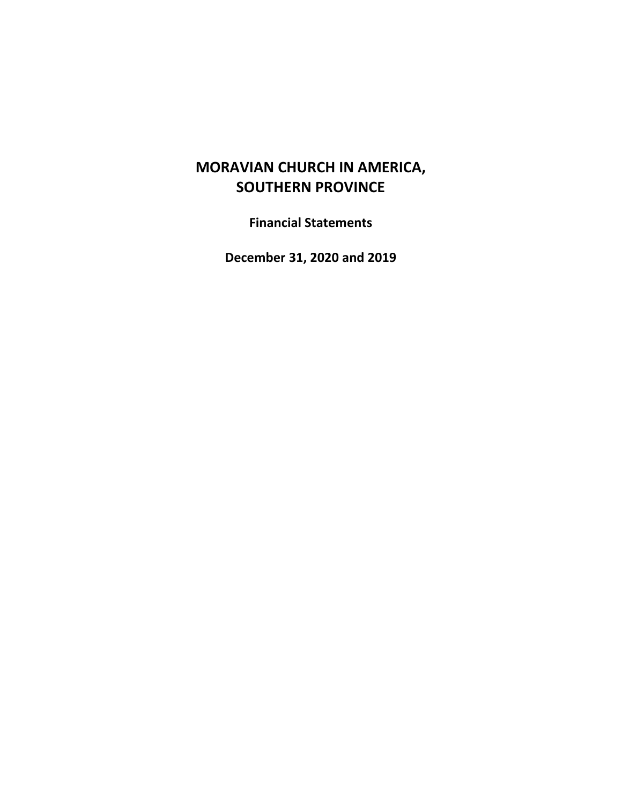## **MORAVIAN CHURCH IN AMERICA, SOUTHERN PROVINCE**

**Financial Statements**

**December 31, 2020 and 2019**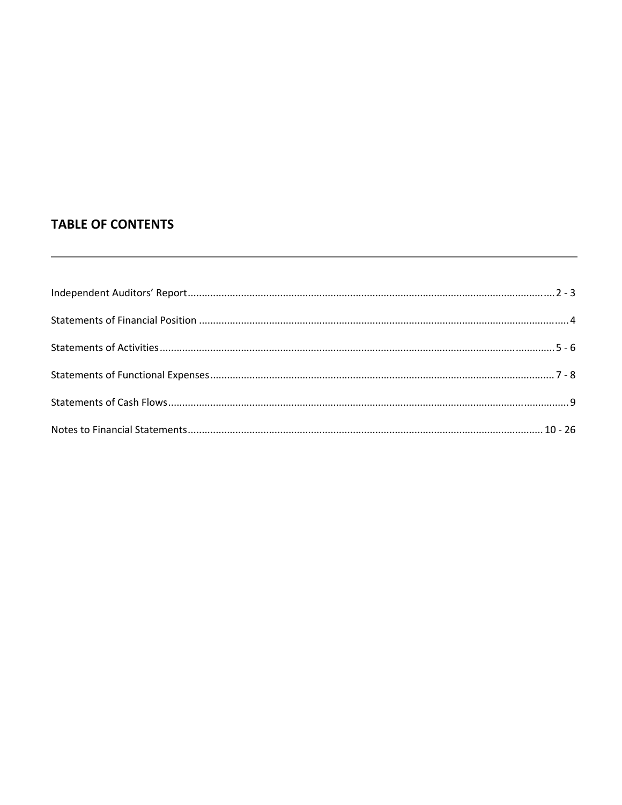### **TABLE OF CONTENTS**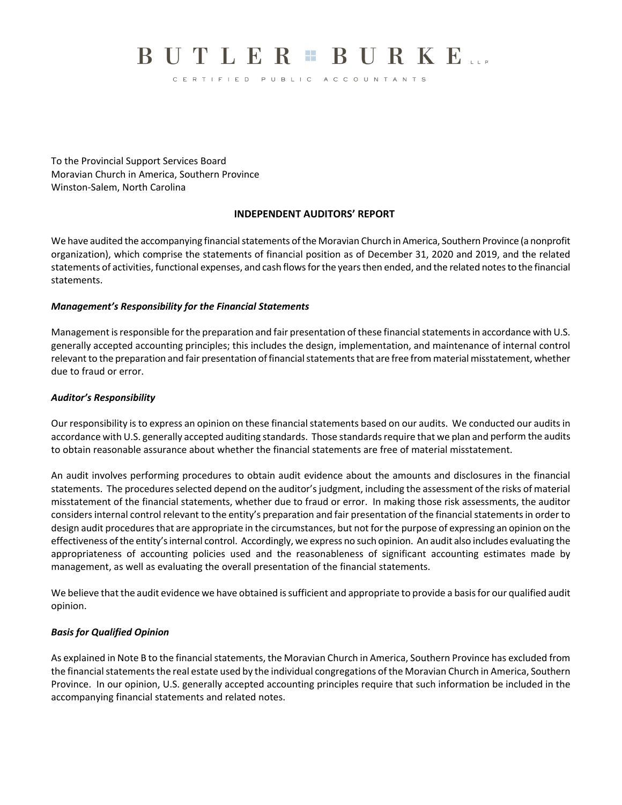# BUTLER BURKE

CERTIFIED PUBLIC ACCOUNTANTS

To the Provincial Support Services Board Moravian Church in America, Southern Province Winston‐Salem, North Carolina

#### **INDEPENDENT AUDITORS' REPORT**

We have audited the accompanying financial statements of the Moravian Church in America, Southern Province (a nonprofit organization), which comprise the statements of financial position as of December 31, 2020 and 2019, and the related statements of activities, functional expenses, and cash flowsforthe yearsthen ended, and the related notesto the financial statements.

#### *Management's Responsibility for the Financial Statements*

Management is responsible for the preparation and fair presentation of these financial statements in accordance with U.S. generally accepted accounting principles; this includes the design, implementation, and maintenance of internal control relevant to the preparation and fair presentation of financial statements that are free from material misstatement, whether due to fraud or error.

#### *Auditor's Responsibility*

Our responsibility is to express an opinion on these financial statements based on our audits. We conducted our audits in accordance with U.S. generally accepted auditing standards. Those standards require that we plan and perform the audits to obtain reasonable assurance about whether the financial statements are free of material misstatement.

An audit involves performing procedures to obtain audit evidence about the amounts and disclosures in the financial statements. The procedures selected depend on the auditor's judgment, including the assessment of the risks of material misstatement of the financial statements, whether due to fraud or error. In making those risk assessments, the auditor considers internal control relevant to the entity's preparation and fair presentation of the financial statements in order to design audit procedures that are appropriate in the circumstances, but not for the purpose of expressing an opinion on the effectiveness ofthe entity'sinternal control. Accordingly, we express no such opinion. An audit also includes evaluating the appropriateness of accounting policies used and the reasonableness of significant accounting estimates made by management, as well as evaluating the overall presentation of the financial statements.

We believe that the audit evidence we have obtained is sufficient and appropriate to provide a basis for our qualified audit opinion.

#### *Basis for Qualified Opinion*

As explained in Note B to the financial statements, the Moravian Church in America, Southern Province has excluded from the financial statements the real estate used by the individual congregations of the Moravian Church in America, Southern Province. In our opinion, U.S. generally accepted accounting principles require that such information be included in the accompanying financial statements and related notes.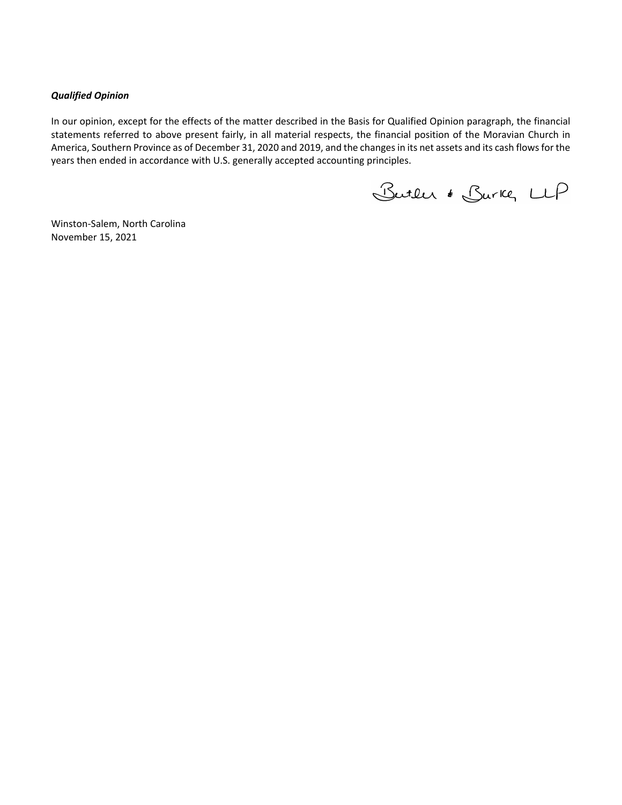#### *Qualified Opinion*

In our opinion, except for the effects of the matter described in the Basis for Qualified Opinion paragraph, the financial statements referred to above present fairly, in all material respects, the financial position of the Moravian Church in America, Southern Province as of December 31, 2020 and 2019, and the changes in its net assets and its cash flows for the years then ended in accordance with U.S. generally accepted accounting principles.

Butler & Burker LLP

Winston‐Salem, North Carolina November 15, 2021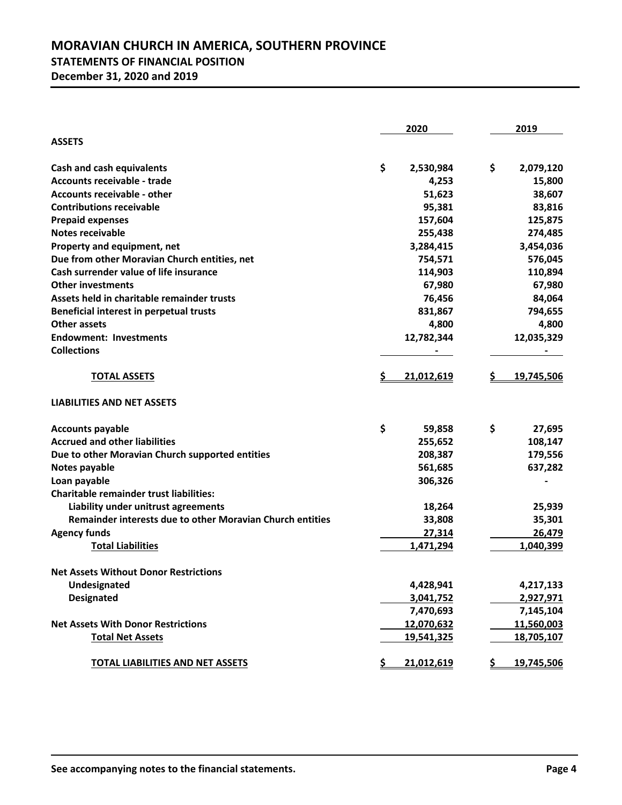# **MORAVIAN CHURCH IN AMERICA, SOUTHERN PROVINCE STATEMENTS OF FINANCIAL POSITION**

**December 31, 2020 and 2019**

|                                                                  | 2020                    | 2019                    |  |  |
|------------------------------------------------------------------|-------------------------|-------------------------|--|--|
| <b>ASSETS</b>                                                    |                         |                         |  |  |
| <b>Cash and cash equivalents</b>                                 | \$<br>2,530,984         | \$<br>2,079,120         |  |  |
| Accounts receivable - trade                                      | 4,253                   | 15,800                  |  |  |
| <b>Accounts receivable - other</b>                               | 51,623                  | 38,607                  |  |  |
| <b>Contributions receivable</b>                                  | 95,381                  | 83,816                  |  |  |
| <b>Prepaid expenses</b>                                          | 157,604                 | 125,875                 |  |  |
| <b>Notes receivable</b>                                          | 255,438                 | 274,485                 |  |  |
| Property and equipment, net                                      | 3,284,415               | 3,454,036               |  |  |
| Due from other Moravian Church entities, net                     | 754,571                 | 576,045                 |  |  |
| Cash surrender value of life insurance                           | 114,903                 | 110,894                 |  |  |
| <b>Other investments</b>                                         | 67,980                  | 67,980                  |  |  |
| Assets held in charitable remainder trusts                       | 76,456                  | 84,064                  |  |  |
| Beneficial interest in perpetual trusts                          | 831,867                 | 794,655                 |  |  |
| <b>Other assets</b>                                              | 4,800                   | 4,800                   |  |  |
| <b>Endowment: Investments</b>                                    | 12,782,344              | 12,035,329              |  |  |
| <b>Collections</b>                                               |                         |                         |  |  |
| <b>TOTAL ASSETS</b>                                              | 21,012,619<br><u>\$</u> | 19,745,506<br><u>\$</u> |  |  |
| <b>LIABILITIES AND NET ASSETS</b>                                |                         |                         |  |  |
| <b>Accounts payable</b>                                          | \$<br>59,858            | \$<br>27,695            |  |  |
| <b>Accrued and other liabilities</b>                             | 255,652                 | 108,147                 |  |  |
| Due to other Moravian Church supported entities                  | 208,387                 | 179,556                 |  |  |
| Notes payable                                                    | 561,685                 | 637,282                 |  |  |
| Loan payable                                                     | 306,326                 |                         |  |  |
| <b>Charitable remainder trust liabilities:</b>                   |                         |                         |  |  |
| Liability under unitrust agreements                              | 18,264                  | 25,939                  |  |  |
| <b>Remainder interests due to other Moravian Church entities</b> | 33,808                  | 35,301                  |  |  |
| <b>Agency funds</b>                                              | 27,314                  | 26,479                  |  |  |
| <b>Total Liabilities</b>                                         | 1,471,294               | 1,040,399               |  |  |
| <b>Net Assets Without Donor Restrictions</b>                     |                         |                         |  |  |
| Undesignated                                                     | 4,428,941               | 4,217,133               |  |  |
| <b>Designated</b>                                                | 3,041,752               | 2,927,971               |  |  |
|                                                                  | 7,470,693               | 7,145,104               |  |  |
| <b>Net Assets With Donor Restrictions</b>                        | 12,070,632              | 11,560,003              |  |  |
| <b>Total Net Assets</b>                                          | 19,541,325              | 18,705,107              |  |  |
| <b>TOTAL LIABILITIES AND NET ASSETS</b>                          | 21,012,619<br>\$        | 19,745,506<br><u>\$</u> |  |  |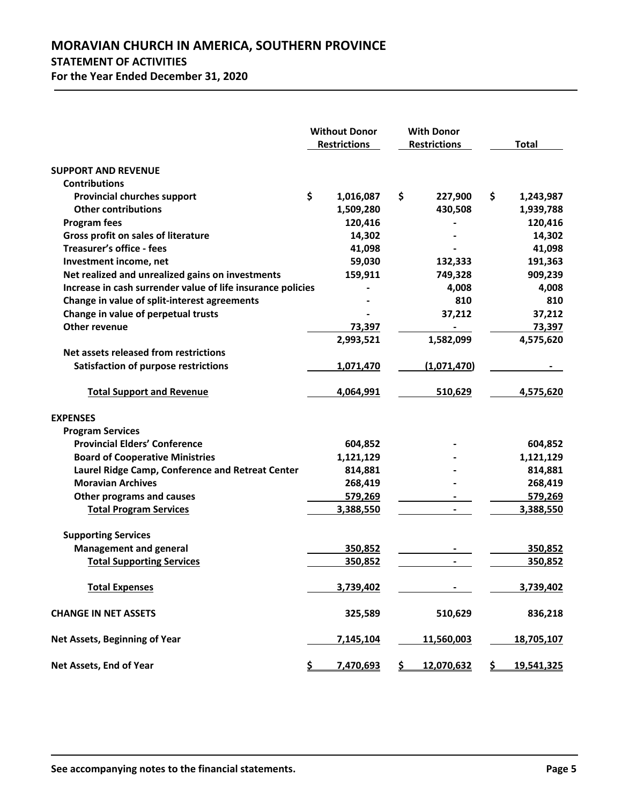### **MORAVIAN CHURCH IN AMERICA, SOUTHERN PROVINCE STATEMENT OF ACTIVITIES**

**For the Year Ended December 31, 2020**

|                                                             |           | <b>Without Donor</b><br><b>Restrictions</b> |           | <b>With Donor</b><br><b>Restrictions</b> | <b>Total</b>     |
|-------------------------------------------------------------|-----------|---------------------------------------------|-----------|------------------------------------------|------------------|
| <b>SUPPORT AND REVENUE</b>                                  |           |                                             |           |                                          |                  |
| <b>Contributions</b>                                        |           |                                             |           |                                          |                  |
| <b>Provincial churches support</b>                          | \$        | 1,016,087                                   | \$        | 227,900                                  | \$<br>1,243,987  |
| <b>Other contributions</b>                                  |           | 1,509,280                                   |           | 430,508                                  | 1,939,788        |
| <b>Program fees</b>                                         |           | 120,416                                     |           |                                          | 120,416          |
| Gross profit on sales of literature                         |           | 14,302                                      |           |                                          | 14,302           |
| <b>Treasurer's office - fees</b>                            |           | 41,098                                      |           |                                          | 41,098           |
| Investment income, net                                      |           | 59,030                                      |           | 132,333                                  | 191,363          |
| Net realized and unrealized gains on investments            |           | 159,911                                     |           | 749,328                                  | 909,239          |
| Increase in cash surrender value of life insurance policies |           |                                             |           | 4,008                                    | 4,008            |
| Change in value of split-interest agreements                |           |                                             |           | 810                                      | 810              |
| Change in value of perpetual trusts                         |           |                                             |           | 37,212                                   | 37,212           |
| Other revenue                                               |           | 73,397                                      |           | $\qquad \qquad \blacksquare$             | 73,397           |
|                                                             |           | 2,993,521                                   |           | 1,582,099                                | 4,575,620        |
| Net assets released from restrictions                       |           |                                             |           |                                          |                  |
| <b>Satisfaction of purpose restrictions</b>                 |           | 1,071,470                                   |           | (1,071,470)                              |                  |
| <b>Total Support and Revenue</b>                            |           | 4,064,991                                   |           | 510,629                                  | 4,575,620        |
| <b>EXPENSES</b>                                             |           |                                             |           |                                          |                  |
| <b>Program Services</b>                                     |           |                                             |           |                                          |                  |
| <b>Provincial Elders' Conference</b>                        |           | 604,852                                     |           |                                          | 604,852          |
| <b>Board of Cooperative Ministries</b>                      |           | 1,121,129                                   |           |                                          | 1,121,129        |
| Laurel Ridge Camp, Conference and Retreat Center            |           | 814,881                                     |           |                                          | 814,881          |
| <b>Moravian Archives</b>                                    |           | 268,419                                     |           |                                          | 268,419          |
| Other programs and causes                                   |           | 579,269                                     |           |                                          | 579,269          |
| <b>Total Program Services</b>                               |           | 3,388,550                                   |           |                                          | 3,388,550        |
| <b>Supporting Services</b>                                  |           |                                             |           |                                          |                  |
| <b>Management and general</b>                               |           | 350,852                                     |           |                                          | 350,852          |
| <b>Total Supporting Services</b>                            |           | 350,852                                     |           |                                          | 350,852          |
| <b>Total Expenses</b>                                       |           | 3,739,402                                   |           |                                          | 3,739,402        |
| <b>CHANGE IN NET ASSETS</b>                                 |           | 325,589                                     |           | 510,629                                  | 836,218          |
| Net Assets, Beginning of Year                               |           | 7,145,104                                   |           | 11,560,003                               | 18,705,107       |
| Net Assets, End of Year                                     | <u>\$</u> | 7,470,693                                   | <u>\$</u> | 12,070,632                               | \$<br>19,541,325 |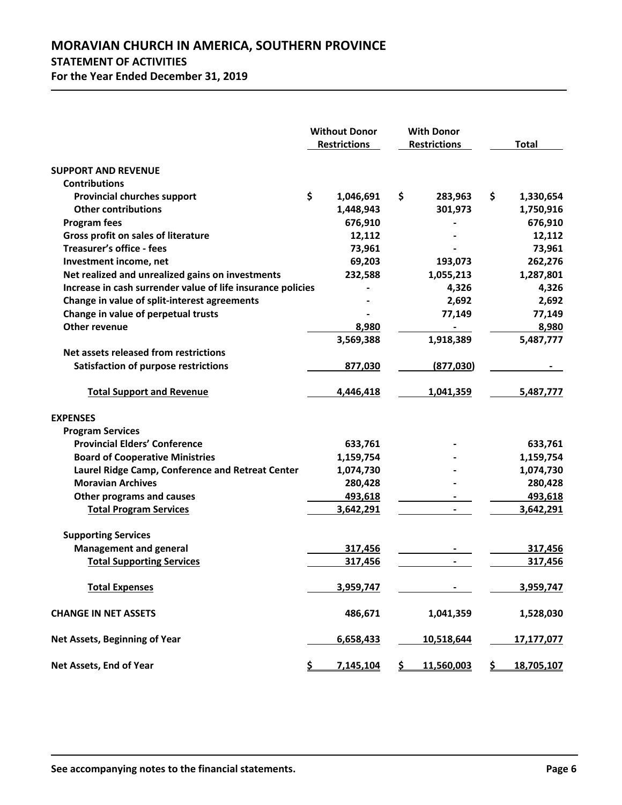### **MORAVIAN CHURCH IN AMERICA, SOUTHERN PROVINCE STATEMENT OF ACTIVITIES**

**For the Year Ended December 31, 2019**

|                                                             |           | <b>Without Donor</b><br><b>Restrictions</b> |     | <b>With Donor</b><br><b>Restrictions</b> | <b>Total</b>     |
|-------------------------------------------------------------|-----------|---------------------------------------------|-----|------------------------------------------|------------------|
| <b>SUPPORT AND REVENUE</b>                                  |           |                                             |     |                                          |                  |
| <b>Contributions</b>                                        |           |                                             |     |                                          |                  |
| <b>Provincial churches support</b>                          | \$        | 1,046,691                                   | \$  | 283,963                                  | \$<br>1,330,654  |
| <b>Other contributions</b>                                  |           | 1,448,943                                   |     | 301,973                                  | 1,750,916        |
| <b>Program</b> fees                                         |           | 676,910                                     |     |                                          | 676,910          |
| Gross profit on sales of literature                         |           | 12,112                                      |     |                                          | 12,112           |
| Treasurer's office - fees                                   |           | 73,961                                      |     |                                          | 73,961           |
| Investment income, net                                      |           | 69,203                                      |     | 193,073                                  | 262,276          |
| Net realized and unrealized gains on investments            |           | 232,588                                     |     | 1,055,213                                | 1,287,801        |
| Increase in cash surrender value of life insurance policies |           |                                             |     | 4,326                                    | 4,326            |
| Change in value of split-interest agreements                |           |                                             |     | 2,692                                    | 2,692            |
| Change in value of perpetual trusts                         |           |                                             |     | 77,149                                   | 77,149           |
| Other revenue                                               |           | 8,980                                       |     | -                                        | 8,980            |
|                                                             |           | 3,569,388                                   |     | 1,918,389                                | 5,487,777        |
| Net assets released from restrictions                       |           |                                             |     |                                          |                  |
| <b>Satisfaction of purpose restrictions</b>                 |           | 877,030                                     |     | (877, 030)                               |                  |
| <b>Total Support and Revenue</b>                            |           | 4,446,418                                   |     | 1,041,359                                | 5,487,777        |
| <b>EXPENSES</b>                                             |           |                                             |     |                                          |                  |
| <b>Program Services</b>                                     |           |                                             |     |                                          |                  |
| <b>Provincial Elders' Conference</b>                        |           | 633,761                                     |     |                                          | 633,761          |
| <b>Board of Cooperative Ministries</b>                      |           | 1,159,754                                   |     |                                          | 1,159,754        |
| Laurel Ridge Camp, Conference and Retreat Center            |           | 1,074,730                                   |     |                                          | 1,074,730        |
| <b>Moravian Archives</b>                                    |           | 280,428                                     |     |                                          | 280,428          |
| Other programs and causes                                   |           | 493,618                                     |     |                                          | 493,618          |
| <b>Total Program Services</b>                               |           | 3,642,291                                   |     | $\blacksquare$                           | 3,642,291        |
| <b>Supporting Services</b>                                  |           |                                             |     |                                          |                  |
| <b>Management and general</b>                               |           | 317,456                                     |     |                                          | 317,456          |
| <b>Total Supporting Services</b>                            |           | 317,456                                     |     |                                          | 317,456          |
| <b>Total Expenses</b>                                       |           | 3,959,747                                   |     |                                          | 3,959,747        |
| <b>CHANGE IN NET ASSETS</b>                                 |           | 486,671                                     |     | 1,041,359                                | 1,528,030        |
| <b>Net Assets, Beginning of Year</b>                        |           | 6,658,433                                   |     | 10,518,644                               | 17,177,077       |
| Net Assets, End of Year                                     | <u>\$</u> | 7,145,104                                   | \$. | 11,560,003                               | \$<br>18,705,107 |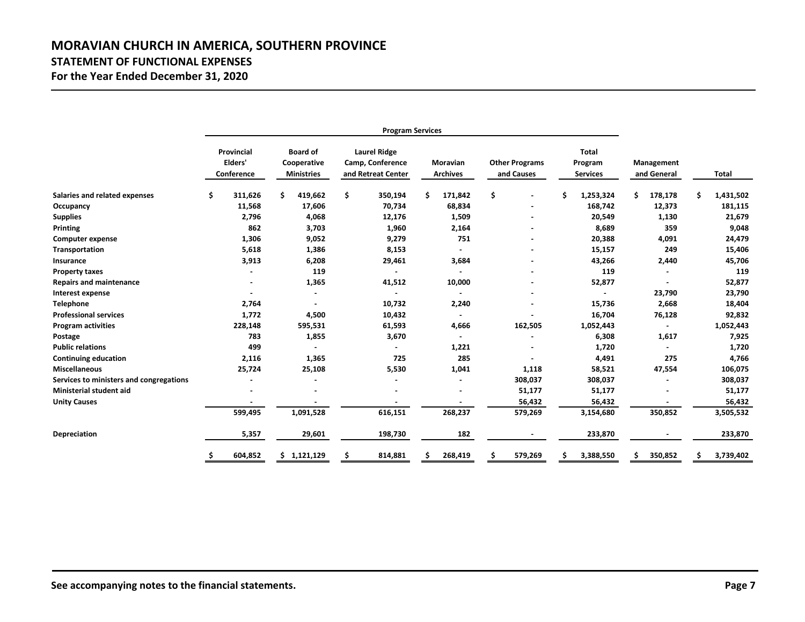#### **MORAVIAN CHURCH IN AMERICA, SOUTHERN PROVINCE STATEMENT OF FUNCTIONAL EXPENSES For the Year Ended December 31, 2020**

|                                         |   | <b>Program Services</b>             |   |                                                     |    |                                                        |    |                             |    |                                     |   |                                            |                           |         |    |           |
|-----------------------------------------|---|-------------------------------------|---|-----------------------------------------------------|----|--------------------------------------------------------|----|-----------------------------|----|-------------------------------------|---|--------------------------------------------|---------------------------|---------|----|-----------|
|                                         |   | Provincial<br>Elders'<br>Conference |   | <b>Board of</b><br>Cooperative<br><b>Ministries</b> |    | Laurel Ridge<br>Camp, Conference<br>and Retreat Center |    | Moravian<br><b>Archives</b> |    | <b>Other Programs</b><br>and Causes |   | <b>Total</b><br>Program<br><b>Services</b> | Management<br>and General |         |    | Total     |
| Salaries and related expenses           | S | 311,626                             | Ś | 419,662                                             | \$ | 350,194                                                | Ś. | 171,842                     | \$ | $\blacksquare$                      | S | 1,253,324                                  | \$                        | 178,178 | S. | 1,431,502 |
| Occupancy                               |   | 11,568                              |   | 17,606                                              |    | 70,734                                                 |    | 68,834                      |    |                                     |   | 168,742                                    |                           | 12,373  |    | 181,115   |
| <b>Supplies</b>                         |   | 2,796                               |   | 4,068                                               |    | 12,176                                                 |    | 1,509                       |    |                                     |   | 20,549                                     |                           | 1,130   |    | 21,679    |
| Printing                                |   | 862                                 |   | 3,703                                               |    | 1,960                                                  |    | 2,164                       |    |                                     |   | 8,689                                      |                           | 359     |    | 9,048     |
| <b>Computer expense</b>                 |   | 1,306                               |   | 9,052                                               |    | 9,279                                                  |    | 751                         |    |                                     |   | 20,388                                     |                           | 4,091   |    | 24,479    |
| Transportation                          |   | 5,618                               |   | 1,386                                               |    | 8,153                                                  |    |                             |    |                                     |   | 15,157                                     |                           | 249     |    | 15,406    |
| Insurance                               |   | 3,913                               |   | 6,208                                               |    | 29,461                                                 |    | 3,684                       |    |                                     |   | 43,266                                     |                           | 2,440   |    | 45,706    |
| <b>Property taxes</b>                   |   |                                     |   | 119                                                 |    | $\blacksquare$                                         |    |                             |    |                                     |   | 119                                        |                           |         |    | 119       |
| <b>Repairs and maintenance</b>          |   |                                     |   | 1,365                                               |    | 41,512                                                 |    | 10,000                      |    |                                     |   | 52,877                                     |                           |         |    | 52,877    |
| Interest expense                        |   |                                     |   |                                                     |    |                                                        |    |                             |    |                                     |   |                                            |                           | 23,790  |    | 23,790    |
| <b>Telephone</b>                        |   | 2,764                               |   |                                                     |    | 10,732                                                 |    | 2,240                       |    |                                     |   | 15,736                                     |                           | 2,668   |    | 18,404    |
| <b>Professional services</b>            |   | 1,772                               |   | 4,500                                               |    | 10,432                                                 |    |                             |    |                                     |   | 16,704                                     |                           | 76,128  |    | 92,832    |
| <b>Program activities</b>               |   | 228,148                             |   | 595,531                                             |    | 61,593                                                 |    | 4,666                       |    | 162,505                             |   | 1,052,443                                  |                           |         |    | 1,052,443 |
| Postage                                 |   | 783                                 |   | 1,855                                               |    | 3,670                                                  |    |                             |    |                                     |   | 6,308                                      |                           | 1,617   |    | 7,925     |
| <b>Public relations</b>                 |   | 499                                 |   |                                                     |    |                                                        |    | 1,221                       |    |                                     |   | 1,720                                      |                           |         |    | 1,720     |
| <b>Continuing education</b>             |   | 2,116                               |   | 1,365                                               |    | 725                                                    |    | 285                         |    |                                     |   | 4,491                                      |                           | 275     |    | 4,766     |
| <b>Miscellaneous</b>                    |   | 25,724                              |   | 25,108                                              |    | 5,530                                                  |    | 1,041                       |    | 1,118                               |   | 58,521                                     |                           | 47,554  |    | 106,075   |
| Services to ministers and congregations |   |                                     |   |                                                     |    |                                                        |    |                             |    | 308,037                             |   | 308,037                                    |                           |         |    | 308,037   |
| <b>Ministerial student aid</b>          |   |                                     |   |                                                     |    |                                                        |    |                             |    | 51,177                              |   | 51,177                                     |                           |         |    | 51,177    |
| <b>Unity Causes</b>                     |   |                                     |   |                                                     |    |                                                        |    |                             |    | 56,432                              |   | 56,432                                     |                           |         |    | 56,432    |
|                                         |   | 599,495                             |   | 1,091,528                                           |    | 616,151                                                |    | 268,237                     |    | 579,269                             |   | 3,154,680                                  |                           | 350,852 |    | 3,505,532 |
| Depreciation                            |   | 5,357                               |   | 29,601                                              |    | 198,730                                                |    | 182                         |    |                                     |   | 233,870                                    |                           |         |    | 233,870   |
|                                         |   | 604,852                             |   | 1,121,129                                           |    | 814,881                                                |    | 268,419                     |    | 579,269                             |   | 3,388,550                                  |                           | 350,852 |    | 3,739,402 |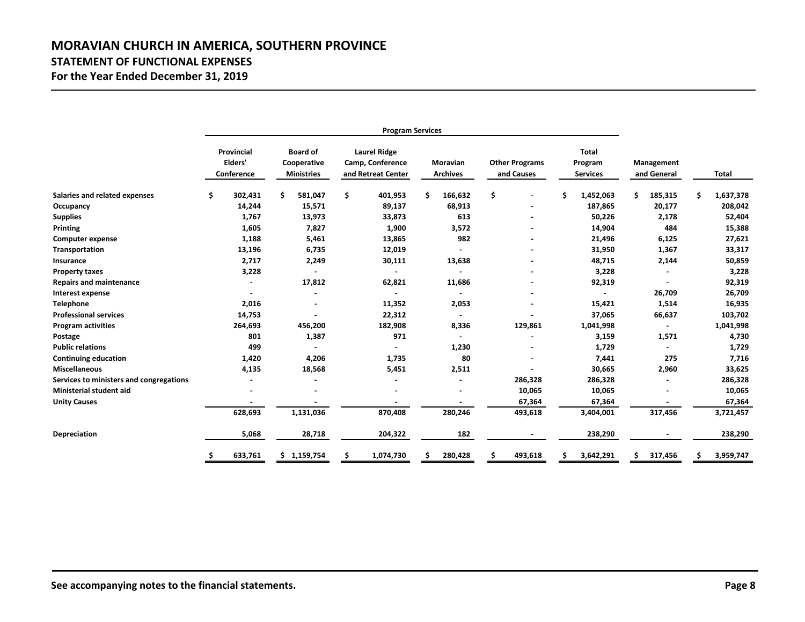#### **MORAVIAN CHURCH IN AMERICA, SOUTHERN PROVINCE STATEMENT OF FUNCTIONAL EXPENSES For the Year Ended December 31, 2019**

|                                         |   | <b>Program Services</b>                    |   |                                                     |    |                                                               |    |                             |    |                                     |   |                                            |    |         |    |           |  |  |  |                           |       |  |
|-----------------------------------------|---|--------------------------------------------|---|-----------------------------------------------------|----|---------------------------------------------------------------|----|-----------------------------|----|-------------------------------------|---|--------------------------------------------|----|---------|----|-----------|--|--|--|---------------------------|-------|--|
|                                         |   | <b>Provincial</b><br>Elders'<br>Conference |   | <b>Board of</b><br>Cooperative<br><b>Ministries</b> |    | <b>Laurel Ridge</b><br>Camp, Conference<br>and Retreat Center |    | Moravian<br><b>Archives</b> |    | <b>Other Programs</b><br>and Causes |   | <b>Total</b><br>Program<br><b>Services</b> |    |         |    |           |  |  |  | Management<br>and General | Total |  |
| Salaries and related expenses           | S | 302,431                                    | Ś | 581,047                                             | \$ | 401,953                                                       | Ś. | 166,632                     | \$ |                                     | Ŝ | 1,452,063                                  | \$ | 185,315 | Ŝ. | 1,637,378 |  |  |  |                           |       |  |
| Occupancy                               |   | 14,244                                     |   | 15,571                                              |    | 89,137                                                        |    | 68,913                      |    |                                     |   | 187,865                                    |    | 20,177  |    | 208,042   |  |  |  |                           |       |  |
| <b>Supplies</b>                         |   | 1,767                                      |   | 13,973                                              |    | 33,873                                                        |    | 613                         |    |                                     |   | 50,226                                     |    | 2,178   |    | 52,404    |  |  |  |                           |       |  |
| Printing                                |   | 1,605                                      |   | 7,827                                               |    | 1,900                                                         |    | 3,572                       |    |                                     |   | 14,904                                     |    | 484     |    | 15,388    |  |  |  |                           |       |  |
| <b>Computer expense</b>                 |   | 1,188                                      |   | 5,461                                               |    | 13,865                                                        |    | 982                         |    |                                     |   | 21,496                                     |    | 6,125   |    | 27,621    |  |  |  |                           |       |  |
| Transportation                          |   | 13,196                                     |   | 6,735                                               |    | 12,019                                                        |    |                             |    |                                     |   | 31,950                                     |    | 1,367   |    | 33,317    |  |  |  |                           |       |  |
| Insurance                               |   | 2,717                                      |   | 2,249                                               |    | 30,111                                                        |    | 13,638                      |    |                                     |   | 48,715                                     |    | 2,144   |    | 50,859    |  |  |  |                           |       |  |
| <b>Property taxes</b>                   |   | 3,228                                      |   |                                                     |    |                                                               |    |                             |    |                                     |   | 3,228                                      |    |         |    | 3,228     |  |  |  |                           |       |  |
| <b>Repairs and maintenance</b>          |   |                                            |   | 17,812                                              |    | 62,821                                                        |    | 11,686                      |    |                                     |   | 92,319                                     |    |         |    | 92,319    |  |  |  |                           |       |  |
| Interest expense                        |   |                                            |   |                                                     |    |                                                               |    |                             |    |                                     |   |                                            |    | 26,709  |    | 26,709    |  |  |  |                           |       |  |
| Telephone                               |   | 2,016                                      |   |                                                     |    | 11,352                                                        |    | 2,053                       |    |                                     |   | 15,421                                     |    | 1,514   |    | 16,935    |  |  |  |                           |       |  |
| <b>Professional services</b>            |   | 14,753                                     |   |                                                     |    | 22,312                                                        |    | $\overline{\phantom{a}}$    |    |                                     |   | 37,065                                     |    | 66,637  |    | 103,702   |  |  |  |                           |       |  |
| <b>Program activities</b>               |   | 264,693                                    |   | 456,200                                             |    | 182,908                                                       |    | 8,336                       |    | 129,861                             |   | 1,041,998                                  |    |         |    | 1,041,998 |  |  |  |                           |       |  |
| Postage                                 |   | 801                                        |   | 1,387                                               |    | 971                                                           |    |                             |    |                                     |   | 3,159                                      |    | 1,571   |    | 4,730     |  |  |  |                           |       |  |
| <b>Public relations</b>                 |   | 499                                        |   |                                                     |    |                                                               |    | 1,230                       |    |                                     |   | 1,729                                      |    |         |    | 1,729     |  |  |  |                           |       |  |
| <b>Continuing education</b>             |   | 1,420                                      |   | 4,206                                               |    | 1,735                                                         |    | 80                          |    |                                     |   | 7,441                                      |    | 275     |    | 7,716     |  |  |  |                           |       |  |
| <b>Miscellaneous</b>                    |   | 4,135                                      |   | 18,568                                              |    | 5,451                                                         |    | 2,511                       |    |                                     |   | 30,665                                     |    | 2,960   |    | 33,625    |  |  |  |                           |       |  |
| Services to ministers and congregations |   |                                            |   |                                                     |    |                                                               |    |                             |    | 286,328                             |   | 286,328                                    |    |         |    | 286,328   |  |  |  |                           |       |  |
| <b>Ministerial student aid</b>          |   |                                            |   |                                                     |    |                                                               |    |                             |    | 10,065                              |   | 10,065                                     |    |         |    | 10,065    |  |  |  |                           |       |  |
| <b>Unity Causes</b>                     |   |                                            |   |                                                     |    |                                                               |    |                             |    | 67,364                              |   | 67,364                                     |    |         |    | 67,364    |  |  |  |                           |       |  |
|                                         |   | 628,693                                    |   | 1,131,036                                           |    | 870,408                                                       |    | 280,246                     |    | 493,618                             |   | 3,404,001                                  |    | 317,456 |    | 3,721,457 |  |  |  |                           |       |  |
| Depreciation                            |   | 5,068                                      |   | 28,718                                              |    | 204,322                                                       |    | 182                         |    |                                     |   | 238,290                                    |    |         |    | 238,290   |  |  |  |                           |       |  |
|                                         |   | 633,761                                    |   | 1,159,754                                           |    | 1,074,730                                                     |    | 280,428                     |    | 493,618                             |   | 3,642,291                                  |    | 317,456 |    | 3,959,747 |  |  |  |                           |       |  |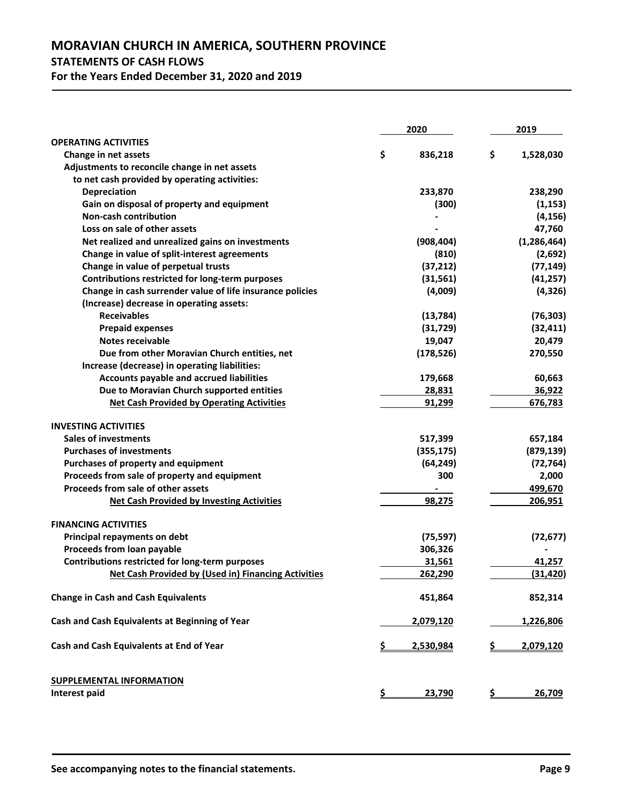# **MORAVIAN CHURCH IN AMERICA, SOUTHERN PROVINCE STATEMENTS OF CASH FLOWS**

**For the Years Ended December 31, 2020 and 2019**

|                                                            | 2020      |            | 2019      |               |
|------------------------------------------------------------|-----------|------------|-----------|---------------|
| <b>OPERATING ACTIVITIES</b>                                |           |            |           |               |
| Change in net assets                                       | \$        | 836,218    | \$        | 1,528,030     |
| Adjustments to reconcile change in net assets              |           |            |           |               |
| to net cash provided by operating activities:              |           |            |           |               |
| Depreciation                                               |           | 233,870    |           | 238,290       |
| Gain on disposal of property and equipment                 |           | (300)      |           | (1, 153)      |
| <b>Non-cash contribution</b>                               |           |            |           | (4, 156)      |
| Loss on sale of other assets                               |           |            |           | 47,760        |
| Net realized and unrealized gains on investments           |           | (908, 404) |           | (1, 286, 464) |
| Change in value of split-interest agreements               |           | (810)      |           | (2,692)       |
| Change in value of perpetual trusts                        |           | (37, 212)  |           | (77, 149)     |
| Contributions restricted for long-term purposes            |           | (31, 561)  |           | (41, 257)     |
| Change in cash surrender value of life insurance policies  |           | (4,009)    |           | (4, 326)      |
| (Increase) decrease in operating assets:                   |           |            |           |               |
| <b>Receivables</b>                                         |           | (13, 784)  |           | (76, 303)     |
| <b>Prepaid expenses</b>                                    |           | (31, 729)  |           | (32, 411)     |
| <b>Notes receivable</b>                                    |           | 19,047     |           | 20,479        |
| Due from other Moravian Church entities, net               |           | (178, 526) |           | 270,550       |
| Increase (decrease) in operating liabilities:              |           |            |           |               |
| <b>Accounts payable and accrued liabilities</b>            |           | 179,668    |           | 60,663        |
| Due to Moravian Church supported entities                  |           | 28,831     |           | 36,922        |
| <b>Net Cash Provided by Operating Activities</b>           |           | 91,299     |           | 676,783       |
| <b>INVESTING ACTIVITIES</b>                                |           |            |           |               |
| <b>Sales of investments</b>                                |           | 517,399    |           | 657,184       |
| <b>Purchases of investments</b>                            |           | (355, 175) |           | (879, 139)    |
| Purchases of property and equipment                        |           | (64, 249)  |           | (72, 764)     |
| Proceeds from sale of property and equipment               |           | 300        |           | 2,000         |
| Proceeds from sale of other assets                         |           |            |           | 499,670       |
| <b>Net Cash Provided by Investing Activities</b>           |           | 98,275     |           | 206,951       |
| <b>FINANCING ACTIVITIES</b>                                |           |            |           |               |
| Principal repayments on debt                               |           | (75, 597)  |           | (72, 677)     |
| Proceeds from loan payable                                 |           | 306,326    |           |               |
| Contributions restricted for long-term purposes            |           | 31,561     |           | 41,257        |
| <b>Net Cash Provided by (Used in) Financing Activities</b> |           | 262.290    |           | (31.420)      |
| <b>Change in Cash and Cash Equivalents</b>                 |           | 451,864    |           | 852,314       |
| Cash and Cash Equivalents at Beginning of Year             |           | 2,079,120  |           | 1,226,806     |
| Cash and Cash Equivalents at End of Year                   | <u>\$</u> | 2,530,984  | Ş.        | 2,079,120     |
| <b>SUPPLEMENTAL INFORMATION</b>                            |           |            |           |               |
| <b>Interest paid</b>                                       | <u>\$</u> | 23,790     | <u>\$</u> | 26,709        |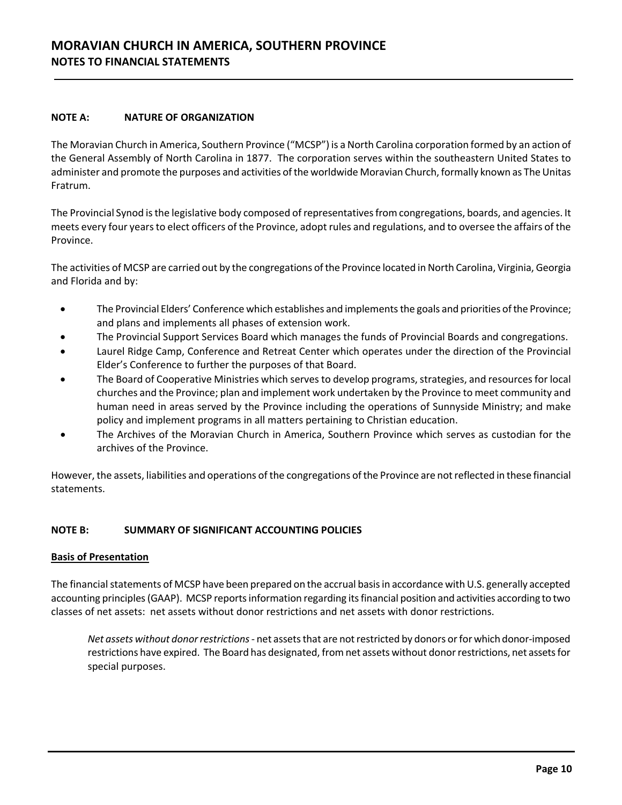#### **NOTE A: NATURE OF ORGANIZATION**

The Moravian Church in America, Southern Province ("MCSP") is a North Carolina corporation formed by an action of the General Assembly of North Carolina in 1877. The corporation serves within the southeastern United States to administer and promote the purposes and activities of the worldwide Moravian Church, formally known as The Unitas Fratrum.

The Provincial Synod is the legislative body composed of representatives from congregations, boards, and agencies. It meets every four yearsto elect officers of the Province, adopt rules and regulations, and to oversee the affairs of the Province.

The activities of MCSP are carried out by the congregations of the Province located in North Carolina, Virginia, Georgia and Florida and by:

- The Provincial Elders' Conference which establishes and implements the goals and priorities of the Province; and plans and implements all phases of extension work.
- The Provincial Support Services Board which manages the funds of Provincial Boards and congregations.
- Laurel Ridge Camp, Conference and Retreat Center which operates under the direction of the Provincial Elder's Conference to further the purposes of that Board.
- The Board of Cooperative Ministries which serves to develop programs, strategies, and resources for local churches and the Province; plan and implement work undertaken by the Province to meet community and human need in areas served by the Province including the operations of Sunnyside Ministry; and make policy and implement programs in all matters pertaining to Christian education.
- The Archives of the Moravian Church in America, Southern Province which serves as custodian for the archives of the Province.

However, the assets, liabilities and operations of the congregations ofthe Province are notreflected in these financial statements.

#### **NOTE B: SUMMARY OF SIGNIFICANT ACCOUNTING POLICIES**

#### **Basis of Presentation**

The financial statements of MCSP have been prepared on the accrual basis in accordance with U.S. generally accepted accounting principles (GAAP). MCSP reports information regarding its financial position and activities according to two classes of net assets: net assets without donor restrictions and net assets with donor restrictions.

*Net assets without donorrestrictions* ‐ net assetsthat are notrestricted by donors orfor which donor‐imposed restrictions have expired. The Board has designated, from net assets without donor restrictions, net assets for special purposes.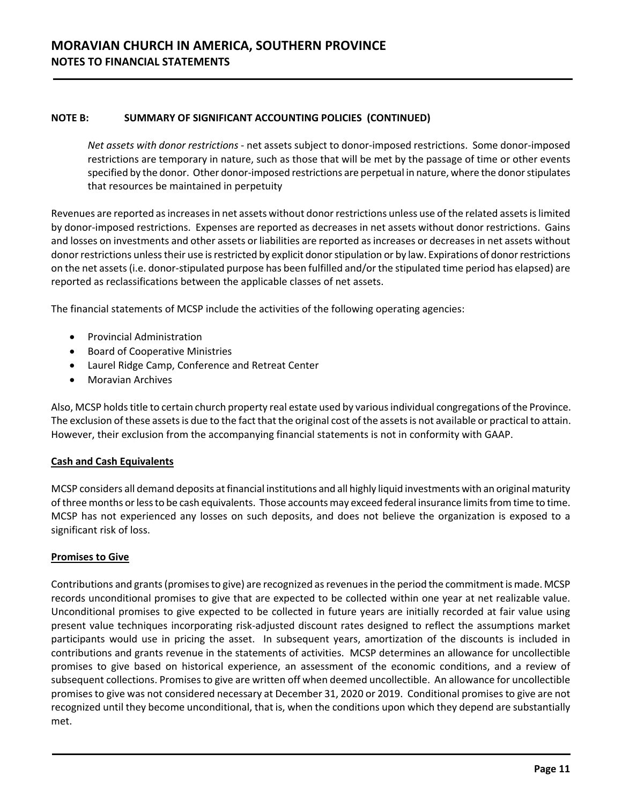*Net assets with donor restrictions* ‐ net assets subject to donor‐imposed restrictions. Some donor‐imposed restrictions are temporary in nature, such as those that will be met by the passage of time or other events specified by the donor. Other donor‐imposed restrictions are perpetual in nature, where the donorstipulates that resources be maintained in perpetuity

Revenues are reported asincreasesin net assets without donor restrictions unless use of the related assetsislimited by donor-imposed restrictions. Expenses are reported as decreases in net assets without donor restrictions. Gains and losses on investments and other assets or liabilities are reported asincreases or decreasesin net assets without donor restrictions unless their use is restricted by explicit donor stipulation or by law. Expirations of donor restrictions on the net assets(i.e. donor‐stipulated purpose has been fulfilled and/or the stipulated time period has elapsed) are reported as reclassifications between the applicable classes of net assets.

The financial statements of MCSP include the activities of the following operating agencies:

- Provincial Administration
- Board of Cooperative Ministries
- Laurel Ridge Camp, Conference and Retreat Center
- Moravian Archives

Also, MCSP holdstitle to certain church property real estate used by variousindividual congregations ofthe Province. The exclusion of these assetsis due to the fact that the original cost of the assetsis not available or practical to attain. However, their exclusion from the accompanying financial statements is not in conformity with GAAP.

#### **Cash and Cash Equivalents**

MCSP considers all demand deposits atfinancial institutions and all highly liquid investments with an originalmaturity of three months or less to be cash equivalents. Those accounts may exceed federal insurance limits from time to time. MCSP has not experienced any losses on such deposits, and does not believe the organization is exposed to a significant risk of loss.

#### **Promises to Give**

Contributions and grants(promisesto give) are recognized asrevenuesin the period the commitmentis made. MCSP records unconditional promises to give that are expected to be collected within one year at net realizable value. Unconditional promises to give expected to be collected in future years are initially recorded at fair value using present value techniques incorporating risk‐adjusted discount rates designed to reflect the assumptions market participants would use in pricing the asset. In subsequent years, amortization of the discounts is included in contributions and grants revenue in the statements of activities. MCSP determines an allowance for uncollectible promises to give based on historical experience, an assessment of the economic conditions, and a review of subsequent collections. Promisesto give are written off when deemed uncollectible. An allowance for uncollectible promisesto give was not considered necessary at December 31, 2020 or 2019. Conditional promisesto give are not recognized until they become unconditional, that is, when the conditions upon which they depend are substantially met.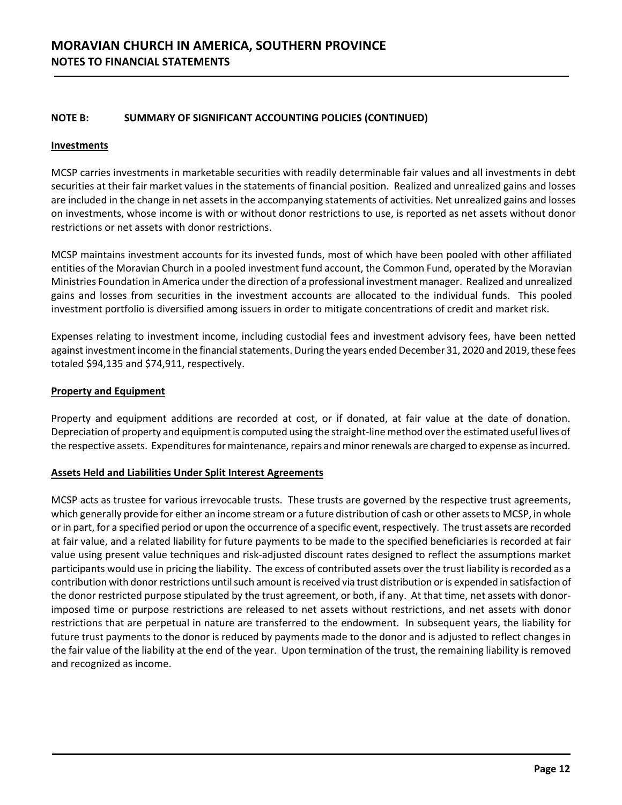#### **Investments**

MCSP carries investments in marketable securities with readily determinable fair values and all investments in debt securities at their fair market values in the statements of financial position. Realized and unrealized gains and losses are included in the change in net assets in the accompanying statements of activities. Net unrealized gains and losses on investments, whose income is with or without donor restrictions to use, is reported as net assets without donor restrictions or net assets with donor restrictions.

MCSP maintains investment accounts for its invested funds, most of which have been pooled with other affiliated entities of the Moravian Church in a pooled investment fund account, the Common Fund, operated by the Moravian Ministries Foundation in America under the direction of a professional investment manager. Realized and unrealized gains and losses from securities in the investment accounts are allocated to the individual funds. This pooled investment portfolio is diversified among issuers in order to mitigate concentrations of credit and market risk.

Expenses relating to investment income, including custodial fees and investment advisory fees, have been netted against investment income in the financial statements. During the years ended December 31, 2020 and 2019, these fees totaled \$94,135 and \$74,911, respectively.

#### **Property and Equipment**

Property and equipment additions are recorded at cost, or if donated, at fair value at the date of donation. Depreciation of property and equipment is computed using the straight-line method over the estimated useful lives of the respective assets. Expenditures for maintenance, repairs and minor renewals are charged to expense as incurred.

#### **Assets Held and Liabilities Under Split Interest Agreements**

MCSP acts as trustee for various irrevocable trusts. These trusts are governed by the respective trust agreements, which generally provide for either an income stream or a future distribution of cash or other assets to MCSP, in whole orin part, for a specified period or upon the occurrence of a specific event,respectively. The trust assets are recorded at fair value, and a related liability for future payments to be made to the specified beneficiaries is recorded at fair value using present value techniques and risk‐adjusted discount rates designed to reflect the assumptions market participants would use in pricing the liability. The excess of contributed assets over the trust liability is recorded as a contribution with donor restrictions until such amount is received via trust distribution or is expended in satisfaction of the donor restricted purpose stipulated by the trust agreement, or both, if any. At that time, net assets with donor‐ imposed time or purpose restrictions are released to net assets without restrictions, and net assets with donor restrictions that are perpetual in nature are transferred to the endowment. In subsequent years, the liability for future trust payments to the donor is reduced by payments made to the donor and is adjusted to reflect changes in the fair value of the liability at the end of the year. Upon termination of the trust, the remaining liability is removed and recognized as income.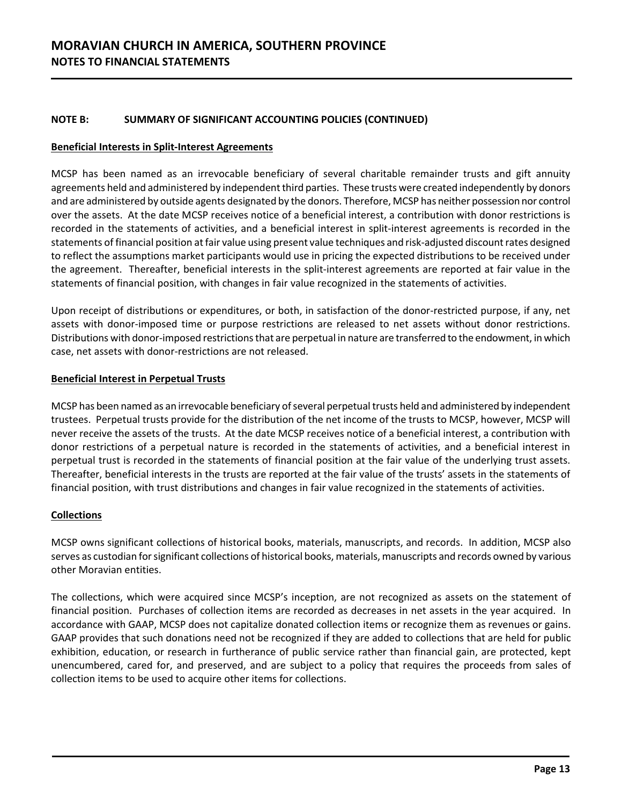#### **Beneficial Interests in Split‐Interest Agreements**

MCSP has been named as an irrevocable beneficiary of several charitable remainder trusts and gift annuity agreements held and administered by independentthird parties. These trusts were created independently by donors and are administered by outside agents designated by the donors. Therefore, MCSP has neither possession nor control over the assets. At the date MCSP receives notice of a beneficial interest, a contribution with donor restrictions is recorded in the statements of activities, and a beneficial interest in split-interest agreements is recorded in the statements of financial position at fair value using present value techniques and risk‐adjusted discountrates designed to reflect the assumptions market participants would use in pricing the expected distributions to be received under the agreement. Thereafter, beneficial interests in the split‐interest agreements are reported at fair value in the statements of financial position, with changes in fair value recognized in the statements of activities.

Upon receipt of distributions or expenditures, or both, in satisfaction of the donor-restricted purpose, if any, net assets with donor‐imposed time or purpose restrictions are released to net assets without donor restrictions. Distributions with donor-imposed restrictions that are perpetual in nature are transferred to the endowment, in which case, net assets with donor‐restrictions are not released.

#### **Beneficial Interest in Perpetual Trusts**

MCSP has been named as an irrevocable beneficiary of several perpetual trusts held and administered by independent trustees. Perpetual trusts provide for the distribution of the net income of the trusts to MCSP, however, MCSP will never receive the assets of the trusts. At the date MCSP receives notice of a beneficial interest, a contribution with donor restrictions of a perpetual nature is recorded in the statements of activities, and a beneficial interest in perpetual trust is recorded in the statements of financial position at the fair value of the underlying trust assets. Thereafter, beneficial interests in the trusts are reported at the fair value of the trusts' assets in the statements of financial position, with trust distributions and changes in fair value recognized in the statements of activities.

#### **Collections**

MCSP owns significant collections of historical books, materials, manuscripts, and records. In addition, MCSP also serves as custodian for significant collections of historical books, materials, manuscripts and records owned by various other Moravian entities.

The collections, which were acquired since MCSP's inception, are not recognized as assets on the statement of financial position. Purchases of collection items are recorded as decreases in net assets in the year acquired. In accordance with GAAP, MCSP does not capitalize donated collection items or recognize them as revenues or gains. GAAP provides that such donations need not be recognized if they are added to collections that are held for public exhibition, education, or research in furtherance of public service rather than financial gain, are protected, kept unencumbered, cared for, and preserved, and are subject to a policy that requires the proceeds from sales of collection items to be used to acquire other items for collections.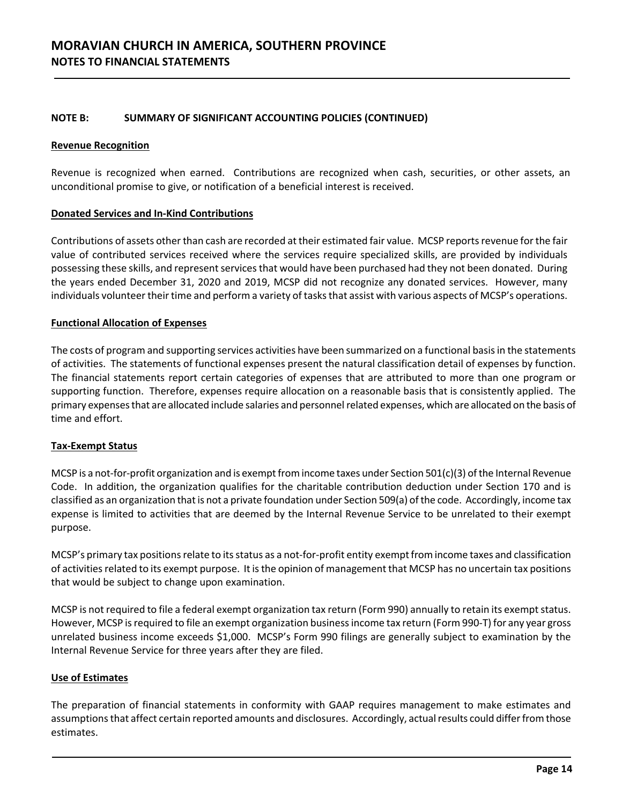#### **Revenue Recognition**

Revenue is recognized when earned. Contributions are recognized when cash, securities, or other assets, an unconditional promise to give, or notification of a beneficial interest is received.

#### **Donated Services and In‐Kind Contributions**

Contributions of assets other than cash are recorded at their estimated fair value. MCSP reports revenue for the fair value of contributed services received where the services require specialized skills, are provided by individuals possessing these skills, and represent services that would have been purchased had they not been donated. During the years ended December 31, 2020 and 2019, MCSP did not recognize any donated services. However, many individuals volunteer their time and perform a variety of tasks that assist with various aspects of MCSP's operations.

#### **Functional Allocation of Expenses**

The costs of program and supporting services activities have been summarized on a functional basisin the statements of activities. The statements of functional expenses present the natural classification detail of expenses by function. The financial statements report certain categories of expenses that are attributed to more than one program or supporting function. Therefore, expenses require allocation on a reasonable basis that is consistently applied. The primary expensesthat are allocated include salaries and personnelrelated expenses, which are allocated on the basis of time and effort.

#### **Tax‐Exempt Status**

MCSP is a not-for-profit organization and is exempt from income taxes under Section 501(c)(3) of the Internal Revenue Code. In addition, the organization qualifies for the charitable contribution deduction under Section 170 and is classified as an organization thatis not a private foundation under Section 509(a) ofthe code. Accordingly, income tax expense is limited to activities that are deemed by the Internal Revenue Service to be unrelated to their exempt purpose.

MCSP's primary tax positions relate to its status as a not-for-profit entity exempt from income taxes and classification of activities related to its exempt purpose. It is the opinion of management that MCSP has no uncertain tax positions that would be subject to change upon examination.

MCSP is not required to file a federal exempt organization tax return (Form 990) annually to retain its exempt status. However, MCSP is required to file an exempt organization business income tax return (Form 990-T) for any year gross unrelated business income exceeds \$1,000. MCSP's Form 990 filings are generally subject to examination by the Internal Revenue Service for three years after they are filed.

#### **Use of Estimates**

The preparation of financial statements in conformity with GAAP requires management to make estimates and assumptions that affect certain reported amounts and disclosures. Accordingly, actual results could differ from those estimates.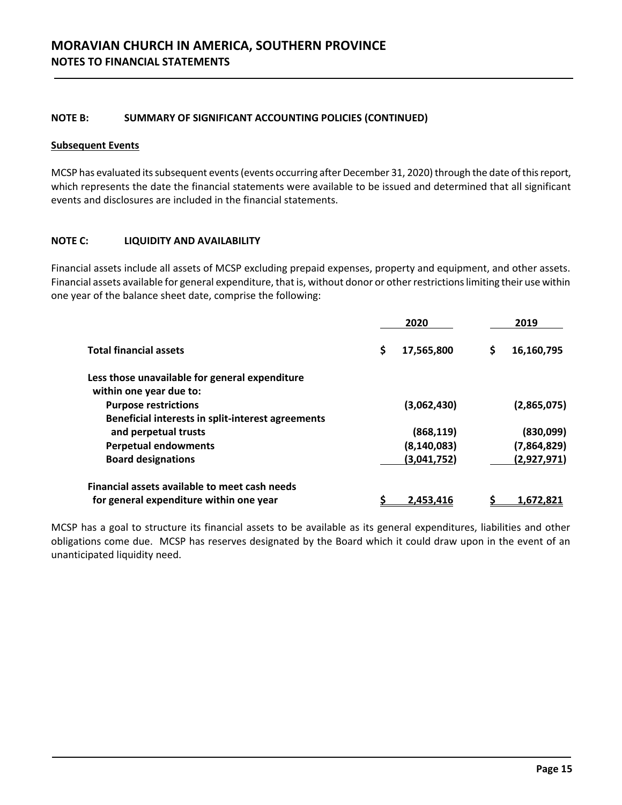#### **Subsequent Events**

MCSP has evaluated its subsequent events (events occurring after December 31, 2020) through the date of this report, which represents the date the financial statements were available to be issued and determined that all significant events and disclosures are included in the financial statements.

#### **NOTE C: LIQUIDITY AND AVAILABILITY**

Financial assets include all assets of MCSP excluding prepaid expenses, property and equipment, and other assets. Financial assets available for general expenditure, that is, without donor or other restrictions limiting their use within one year of the balance sheet date, comprise the following:

|                                                   | 2020             | 2019 |             |  |
|---------------------------------------------------|------------------|------|-------------|--|
| <b>Total financial assets</b>                     | \$<br>17,565,800 | \$   | 16,160,795  |  |
| Less those unavailable for general expenditure    |                  |      |             |  |
| within one year due to:                           |                  |      |             |  |
| <b>Purpose restrictions</b>                       | (3,062,430)      |      | (2,865,075) |  |
| Beneficial interests in split-interest agreements |                  |      |             |  |
| and perpetual trusts                              | (868, 119)       |      | (830,099)   |  |
| <b>Perpetual endowments</b>                       | (8, 140, 083)    |      | (7,864,829) |  |
| <b>Board designations</b>                         | (3,041,752)      |      | (2,927,971) |  |
| Financial assets available to meet cash needs     |                  |      |             |  |
| for general expenditure within one year           | 2.453.416        |      | 1.672.821   |  |

MCSP has a goal to structure its financial assets to be available as its general expenditures, liabilities and other obligations come due. MCSP has reserves designated by the Board which it could draw upon in the event of an unanticipated liquidity need.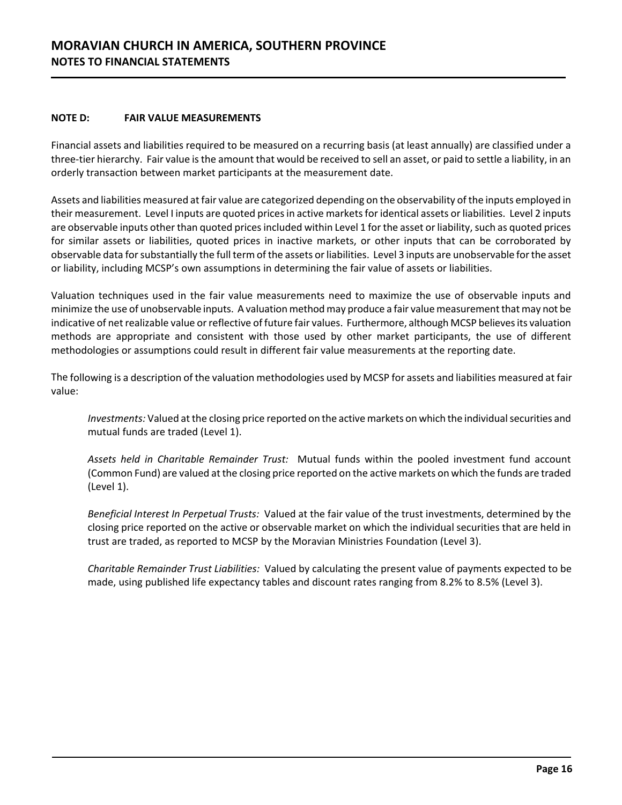#### **NOTE D: FAIR VALUE MEASUREMENTS**

Financial assets and liabilities required to be measured on a recurring basis (at least annually) are classified under a three-tier hierarchy. Fair value is the amount that would be received to sell an asset, or paid to settle a liability, in an orderly transaction between market participants at the measurement date.

Assets and liabilities measured at fair value are categorized depending on the observability of the inputs employed in their measurement. Level I inputs are quoted pricesin active marketsfor identical assets or liabilities. Level 2 inputs are observable inputs other than quoted prices included within Level 1 for the asset or liability, such as quoted prices for similar assets or liabilities, quoted prices in inactive markets, or other inputs that can be corroborated by observable data forsubstantially the full term of the assets orliabilities. Level 3 inputs are unobservable forthe asset or liability, including MCSP's own assumptions in determining the fair value of assets or liabilities.

Valuation techniques used in the fair value measurements need to maximize the use of observable inputs and minimize the use of unobservable inputs. A valuation method may produce a fair valuemeasurementthatmay not be indicative of net realizable value or reflective of future fair values. Furthermore, although MCSP believes its valuation methods are appropriate and consistent with those used by other market participants, the use of different methodologies or assumptions could result in different fair value measurements at the reporting date.

The following is a description of the valuation methodologies used by MCSP for assets and liabilities measured at fair value:

*Investments:* Valued at the closing price reported on the active markets on which the individual securities and mutual funds are traded (Level 1).

*Assets held in Charitable Remainder Trust:* Mutual funds within the pooled investment fund account (Common Fund) are valued at the closing price reported on the active markets on which the funds are traded (Level 1).

*Beneficial Interest In Perpetual Trusts:* Valued at the fair value of the trust investments, determined by the closing price reported on the active or observable market on which the individual securities that are held in trust are traded, as reported to MCSP by the Moravian Ministries Foundation (Level 3).

*Charitable Remainder Trust Liabilities:* Valued by calculating the present value of payments expected to be made, using published life expectancy tables and discount rates ranging from 8.2% to 8.5% (Level 3).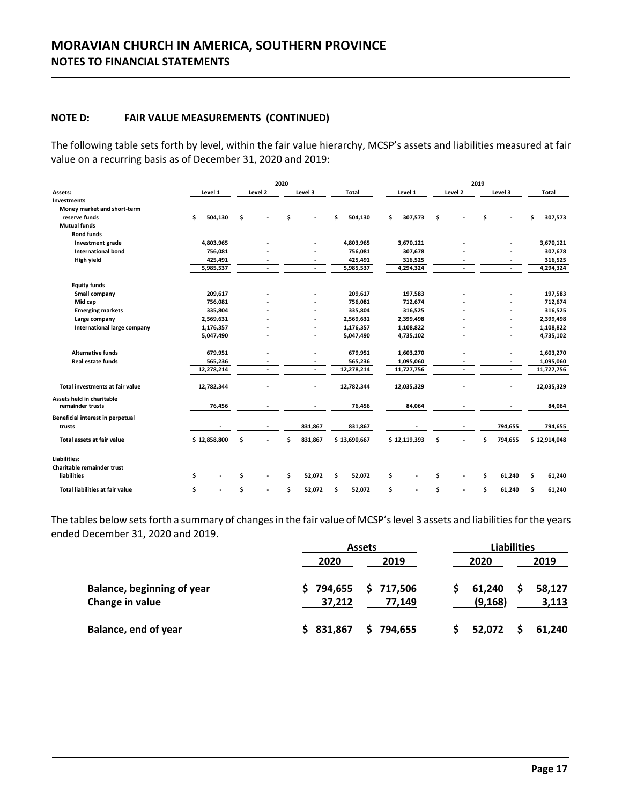#### **NOTE D: FAIR VALUE MEASUREMENTS (CONTINUED)**

The following table sets forth by level, within the fair value hierarchy, MCSP's assets and liabilities measured at fair value on a recurring basis as of December 31, 2020 and 2019:

|                                               |               |         | 2020         |              |               |         | 2019           |              |
|-----------------------------------------------|---------------|---------|--------------|--------------|---------------|---------|----------------|--------------|
| Assets:                                       | Level 1       | Level 2 | Level 3      | <b>Total</b> | Level 1       | Level 2 | Level 3        | Total        |
| <b>Investments</b>                            |               |         |              |              |               |         |                |              |
| Money market and short-term                   |               |         |              |              |               |         |                |              |
| reserve funds                                 | 504,130<br>\$ | \$      | Ś            | 504,130<br>Ś | \$<br>307,573 | \$      |                | 307,573<br>Ś |
| <b>Mutual funds</b>                           |               |         |              |              |               |         |                |              |
| <b>Bond funds</b>                             |               |         |              |              |               |         |                |              |
| Investment grade                              | 4,803,965     |         |              | 4,803,965    | 3,670,121     |         |                | 3,670,121    |
| <b>International bond</b>                     | 756,081       |         |              | 756,081      | 307,678       |         |                | 307,678      |
| <b>High yield</b>                             | 425,491       |         |              | 425,491      | 316,525       |         |                | 316,525      |
|                                               | 5,985,537     |         | ÷.           | 5,985,537    | 4,294,324     |         | ÷.             | 4,294,324    |
| <b>Equity funds</b>                           |               |         |              |              |               |         |                |              |
| Small company                                 | 209,617       |         |              | 209,617      | 197,583       |         |                | 197,583      |
| Mid cap                                       | 756,081       |         |              | 756,081      | 712,674       |         |                | 712,674      |
| <b>Emerging markets</b>                       | 335,804       |         |              | 335,804      | 316,525       |         |                | 316,525      |
| Large company                                 | 2,569,631     |         |              | 2,569,631    | 2,399,498     |         |                | 2,399,498    |
| International large company                   | 1,176,357     |         |              | 1,176,357    | 1,108,822     |         |                | 1,108,822    |
|                                               | 5,047,490     |         |              | 5,047,490    | 4,735,102     |         |                | 4,735,102    |
| <b>Alternative funds</b>                      | 679,951       |         |              | 679,951      | 1,603,270     |         |                | 1,603,270    |
| <b>Real estate funds</b>                      | 565,236       |         |              | 565,236      | 1,095,060     |         |                | 1,095,060    |
|                                               | 12,278,214    |         | ×            | 12,278,214   | 11,727,756    |         | $\blacksquare$ | 11,727,756   |
| Total investments at fair value               | 12,782,344    |         |              | 12,782,344   | 12,035,329    |         |                | 12,035,329   |
| Assets held in charitable<br>remainder trusts | 76,456        |         |              | 76,456       | 84,064        |         |                | 84,064       |
| Beneficial interest in perpetual              |               |         |              |              |               |         |                |              |
| trusts                                        |               |         | 831,867      | 831,867      |               |         | 794,655        | 794,655      |
| Total assets at fair value                    | \$12,858,800  |         | 831,867      | \$13,690,667 | \$12,119,393  | s       | 794,655        | \$12,914,048 |
| Liabilities:                                  |               |         |              |              |               |         |                |              |
| Charitable remainder trust                    |               |         |              |              |               |         |                |              |
| liabilities                                   | \$            |         | 52,072<br>Ś  | 52,072<br>\$ | \$            |         | 61,240         | 61,240<br>\$ |
| <b>Total liabilities at fair value</b>        | \$            | \$      | \$<br>52,072 | 52,072<br>\$ | Ś             | Ś       | \$<br>61,240   | 61,240       |

The tables below sets forth a summary of changes in the fair value of MCSP's level 3 assets and liabilities for the years ended December 31, 2020 and 2019.

|                                                      |                   | <b>Assets</b>       |                    | <b>Liabilities</b> |                 |  |
|------------------------------------------------------|-------------------|---------------------|--------------------|--------------------|-----------------|--|
|                                                      | 2020              | 2019                | 2020               |                    | 2019            |  |
| <b>Balance, beginning of year</b><br>Change in value | 794,655<br>37,212 | \$717,506<br>77.149 | 61,240<br>(9, 168) |                    | 58,127<br>3,113 |  |
| Balance, end of year                                 | 831,867           | 794,655             | 52,072             |                    | 61,240          |  |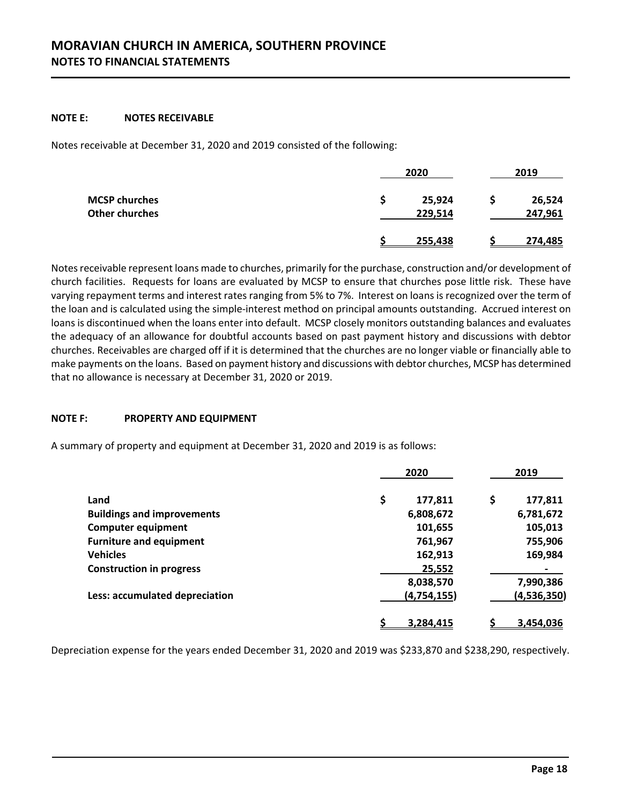#### **NOTE E: NOTES RECEIVABLE**

Notes receivable at December 31, 2020 and 2019 consisted of the following:

|                       | 2020    | 2019    |
|-----------------------|---------|---------|
| <b>MCSP churches</b>  | 25,924  | 26,524  |
| <b>Other churches</b> | 229,514 | 247,961 |
|                       | 255,438 | 274,485 |

Notes receivable represent loans made to churches, primarily for the purchase, construction and/or development of church facilities. Requests for loans are evaluated by MCSP to ensure that churches pose little risk. These have varying repayment terms and interest rates ranging from 5% to 7%. Interest on loans is recognized over the term of the loan and is calculated using the simple‐interest method on principal amounts outstanding. Accrued interest on loans is discontinued when the loans enter into default. MCSP closely monitors outstanding balances and evaluates the adequacy of an allowance for doubtful accounts based on past payment history and discussions with debtor churches. Receivables are charged off if it is determined that the churches are no longer viable or financially able to make payments on the loans. Based on payment history and discussions with debtor churches, MCSP has determined that no allowance is necessary at December 31, 2020 or 2019.

#### **NOTE F: PROPERTY AND EQUIPMENT**

A summary of property and equipment at December 31, 2020 and 2019 is as follows:

|                                   | 2020          | 2019 |             |  |  |
|-----------------------------------|---------------|------|-------------|--|--|
| Land                              | \$<br>177,811 | Ş    | 177,811     |  |  |
| <b>Buildings and improvements</b> | 6,808,672     |      | 6,781,672   |  |  |
| <b>Computer equipment</b>         | 101,655       |      | 105,013     |  |  |
| <b>Furniture and equipment</b>    | 761,967       |      | 755,906     |  |  |
| <b>Vehicles</b>                   | 162,913       |      | 169,984     |  |  |
| <b>Construction in progress</b>   | 25,552        |      | -           |  |  |
|                                   | 8,038,570     |      | 7,990,386   |  |  |
| Less: accumulated depreciation    | (4, 754, 155) |      | (4,536,350) |  |  |
|                                   | 3,284,415     |      | 3,454,036   |  |  |

Depreciation expense for the years ended December 31, 2020 and 2019 was \$233,870 and \$238,290, respectively.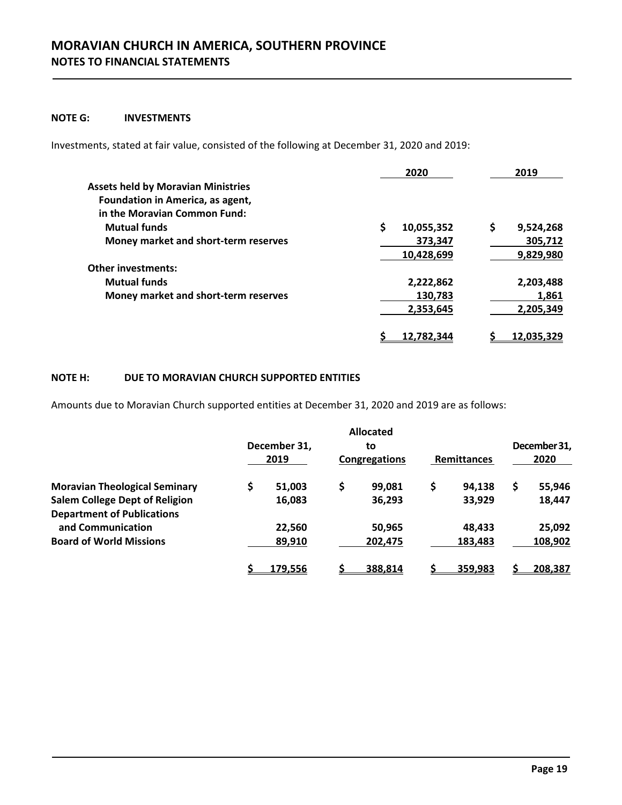#### **NOTE G: INVESTMENTS**

Investments, stated at fair value, consisted of the following at December 31, 2020 and 2019:

|                                           | 2020             | 2019            |
|-------------------------------------------|------------------|-----------------|
| <b>Assets held by Moravian Ministries</b> |                  |                 |
| Foundation in America, as agent,          |                  |                 |
| in the Moravian Common Fund:              |                  |                 |
| <b>Mutual funds</b>                       | \$<br>10,055,352 | S.<br>9,524,268 |
| Money market and short-term reserves      | 373,347          | 305,712         |
|                                           | 10,428,699       | 9,829,980       |
| <b>Other investments:</b>                 |                  |                 |
| <b>Mutual funds</b>                       | 2,222,862        | 2,203,488       |
| Money market and short-term reserves      | 130,783          | 1,861           |
|                                           | 2,353,645        | 2,205,349       |
|                                           | 12.782.344       | 12.035.329      |

#### **NOTE H: DUE TO MORAVIAN CHURCH SUPPORTED ENTITIES**

Amounts due to Moravian Church supported entities at December 31, 2020 and 2019 are as follows:

|                                       |                      |         |                            | <b>Allocated</b> |             |         |   |                      |
|---------------------------------------|----------------------|---------|----------------------------|------------------|-------------|---------|---|----------------------|
|                                       | December 31,<br>2019 |         | to<br><b>Congregations</b> |                  | Remittances |         |   | December 31,<br>2020 |
| <b>Moravian Theological Seminary</b>  | \$                   | 51.003  | \$                         | 99,081           | \$          | 94.138  | S | 55,946               |
| <b>Salem College Dept of Religion</b> |                      | 16,083  |                            | 36,293           |             | 33,929  |   | 18,447               |
| <b>Department of Publications</b>     |                      |         |                            |                  |             |         |   |                      |
| and Communication                     |                      | 22,560  |                            | 50,965           |             | 48.433  |   | 25,092               |
| <b>Board of World Missions</b>        |                      | 89,910  |                            | 202,475          |             | 183,483 |   | 108,902              |
|                                       |                      | 179,556 |                            | 388,814          |             | 359,983 |   | 208,387              |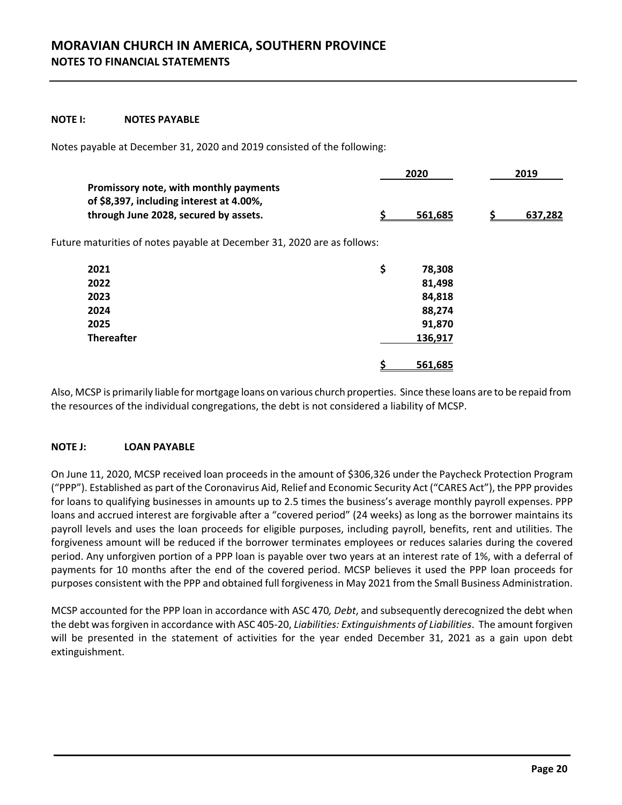#### **NOTE I: NOTES PAYABLE**

Notes payable at December 31, 2020 and 2019 consisted of the following:

|                                                                                                                             | 2020         | 2019    |  |  |
|-----------------------------------------------------------------------------------------------------------------------------|--------------|---------|--|--|
| Promissory note, with monthly payments<br>of \$8,397, including interest at 4.00%,<br>through June 2028, secured by assets. | 561,685      | 637,282 |  |  |
| Future maturities of notes payable at December 31, 2020 are as follows:                                                     |              |         |  |  |
| 2021                                                                                                                        | \$<br>78,308 |         |  |  |
| 2022                                                                                                                        | 81,498       |         |  |  |
| 2023                                                                                                                        | 84,818       |         |  |  |
| 2024                                                                                                                        | 88,274       |         |  |  |
| 2025                                                                                                                        | 91,870       |         |  |  |
| <b>Thereafter</b>                                                                                                           | 136,917      |         |  |  |
|                                                                                                                             | 561,685      |         |  |  |

Also, MCSP is primarily liable formortgage loans on various church properties. Since these loans are to be repaid from the resources of the individual congregations, the debt is not considered a liability of MCSP.

#### **NOTE J: LOAN PAYABLE**

On June 11, 2020, MCSP received loan proceeds in the amount of \$306,326 under the Paycheck Protection Program ("PPP"). Established as part of the Coronavirus Aid, Relief and Economic Security Act ("CARES Act"), the PPP provides for loans to qualifying businesses in amounts up to 2.5 times the business's average monthly payroll expenses. PPP loans and accrued interest are forgivable after a "covered period" (24 weeks) as long as the borrower maintains its payroll levels and uses the loan proceeds for eligible purposes, including payroll, benefits, rent and utilities. The forgiveness amount will be reduced if the borrower terminates employees or reduces salaries during the covered period. Any unforgiven portion of a PPP loan is payable over two years at an interest rate of 1%, with a deferral of payments for 10 months after the end of the covered period. MCSP believes it used the PPP loan proceeds for purposes consistent with the PPP and obtained full forgivenessin May 2021 from the Small Business Administration.

MCSP accounted for the PPP loan in accordance with ASC 470*, Debt*, and subsequently derecognized the debt when the debt wasforgiven in accordance with ASC 405‐20, *Liabilities: Extinguishments of Liabilities*. The amount forgiven will be presented in the statement of activities for the year ended December 31, 2021 as a gain upon debt extinguishment.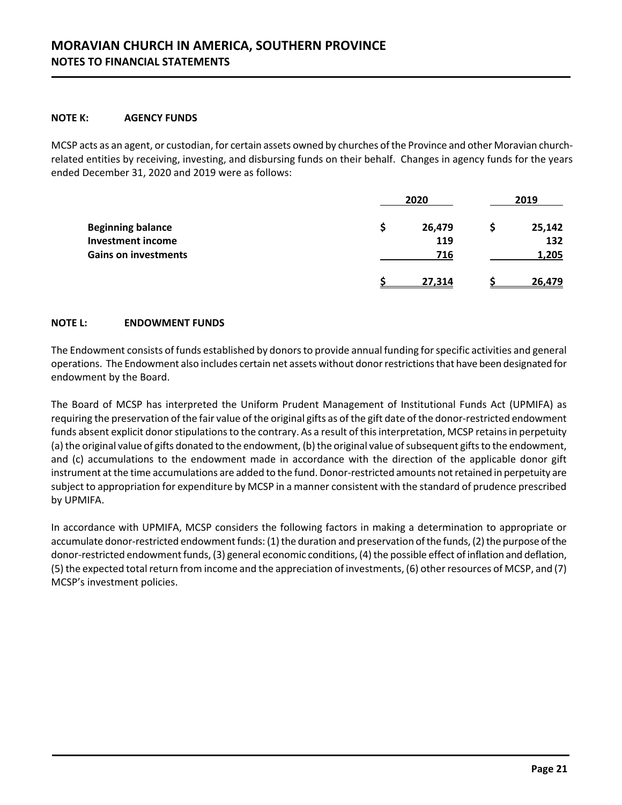#### **NOTE K: AGENCY FUNDS**

MCSP acts as an agent, or custodian, for certain assets owned by churches ofthe Province and other Moravian church‐ related entities by receiving, investing, and disbursing funds on their behalf. Changes in agency funds for the years ended December 31, 2020 and 2019 were as follows:

|                             | 2020   |  |        |
|-----------------------------|--------|--|--------|
| <b>Beginning balance</b>    | 26,479 |  | 25,142 |
| <b>Investment income</b>    | 119    |  | 132    |
| <b>Gains on investments</b> | 716    |  | 1,205  |
|                             | 27,314 |  | 26,479 |

#### **NOTE L: ENDOWMENT FUNDS**

The Endowment consists of funds established by donorsto provide annual funding forspecific activities and general operations. The Endowment also includes certain net assets without donorrestrictionsthat have been designated for endowment by the Board.

The Board of MCSP has interpreted the Uniform Prudent Management of Institutional Funds Act (UPMIFA) as requiring the preservation of the fair value of the original gifts as of the gift date of the donor-restricted endowment funds absent explicit donor stipulations to the contrary. As a result of this interpretation, MCSP retains in perpetuity (a) the original value of gifts donated to the endowment, (b) the original value of subsequent gifts to the endowment, and (c) accumulations to the endowment made in accordance with the direction of the applicable donor gift instrument at the time accumulations are added to the fund. Donor-restricted amounts not retained in perpetuity are subject to appropriation for expenditure by MCSP in a manner consistent with the standard of prudence prescribed by UPMIFA.

In accordance with UPMIFA, MCSP considers the following factors in making a determination to appropriate or accumulate donor-restricted endowment funds: (1) the duration and preservation of the funds, (2) the purpose of the donor-restricted endowment funds, (3) general economic conditions, (4) the possible effect of inflation and deflation, (5) the expected total return from income and the appreciation of investments, (6) other resources of MCSP, and (7) MCSP's investment policies.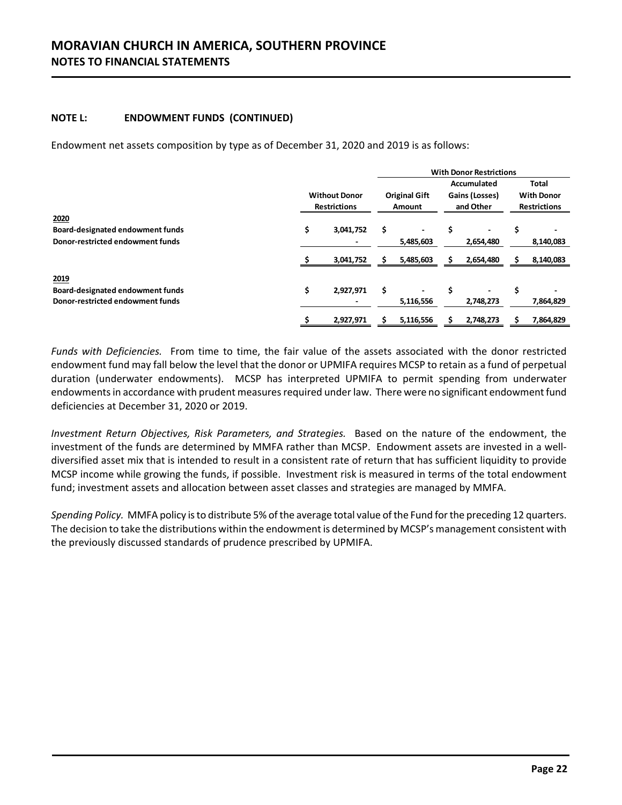#### **NOTE L: ENDOWMENT FUNDS (CONTINUED)**

Endowment net assets composition by type as of December 31, 2020 and 2019 is as follows:

|                                  |                                             |           | <b>With Donor Restrictions</b> |                          |                                            |           |    |                                                          |
|----------------------------------|---------------------------------------------|-----------|--------------------------------|--------------------------|--------------------------------------------|-----------|----|----------------------------------------------------------|
|                                  | <b>Without Donor</b><br><b>Restrictions</b> |           | <b>Original Gift</b><br>Amount |                          | Accumulated<br>Gains (Losses)<br>and Other |           |    | <b>Total</b><br><b>With Donor</b><br><b>Restrictions</b> |
| 2020                             |                                             |           |                                |                          |                                            |           |    |                                                          |
| Board-designated endowment funds | \$                                          | 3,041,752 | \$                             | ٠                        | \$                                         |           | \$ |                                                          |
| Donor-restricted endowment funds |                                             |           |                                | 5,485,603                |                                            | 2,654,480 |    | 8,140,083                                                |
|                                  |                                             | 3,041,752 |                                | 5,485,603                |                                            | 2,654,480 | s  | 8,140,083                                                |
| 2019                             |                                             |           |                                |                          |                                            |           |    |                                                          |
| Board-designated endowment funds | \$                                          | 2,927,971 | \$                             | $\overline{\phantom{0}}$ | \$                                         |           | \$ |                                                          |
| Donor-restricted endowment funds |                                             |           |                                | 5,116,556                |                                            | 2,748,273 |    | 7,864,829                                                |
|                                  |                                             | 2,927,971 |                                | 5,116,556                |                                            | 2,748,273 |    | 7,864,829                                                |

*Funds with Deficiencies.* From time to time, the fair value of the assets associated with the donor restricted endowment fund may fall below the level that the donor or UPMIFA requires MCSP to retain as a fund of perpetual duration (underwater endowments). MCSP has interpreted UPMIFA to permit spending from underwater endowments in accordance with prudent measures required under law. There were no significant endowment fund deficiencies at December 31, 2020 or 2019.

*Investment Return Objectives, Risk Parameters, and Strategies.*  Based on the nature of the endowment, the investment of the funds are determined by MMFA rather than MCSP. Endowment assets are invested in a welldiversified asset mix that is intended to result in a consistent rate of return that has sufficient liquidity to provide MCSP income while growing the funds, if possible. Investment risk is measured in terms of the total endowment fund; investment assets and allocation between asset classes and strategies are managed by MMFA.

*Spending Policy.* MMFA policy isto distribute 5% ofthe average total value ofthe Fund forthe preceding 12 quarters. The decision to take the distributions within the endowment is determined by MCSP's management consistent with the previously discussed standards of prudence prescribed by UPMIFA.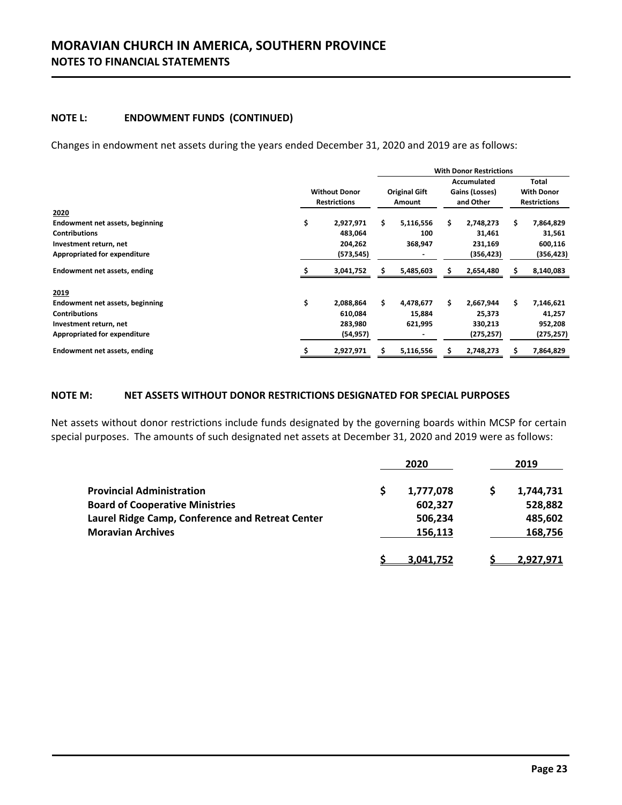#### **NOTE L: ENDOWMENT FUNDS (CONTINUED)**

Changes in endowment net assets during the years ended December 31, 2020 and 2019 are as follows:

|                                 |                                             |            | <b>With Donor Restrictions</b> |           |                                            |            |                                                   |            |
|---------------------------------|---------------------------------------------|------------|--------------------------------|-----------|--------------------------------------------|------------|---------------------------------------------------|------------|
|                                 | <b>Without Donor</b><br><b>Restrictions</b> |            | <b>Original Gift</b><br>Amount |           | Accumulated<br>Gains (Losses)<br>and Other |            | Total<br><b>With Donor</b><br><b>Restrictions</b> |            |
| 2020                            |                                             |            |                                |           |                                            |            |                                                   |            |
| Endowment net assets, beginning | \$                                          | 2,927,971  | Ś.                             | 5,116,556 | \$.                                        | 2,748,273  | S.                                                | 7,864,829  |
| <b>Contributions</b>            |                                             | 483,064    |                                | 100       |                                            | 31,461     |                                                   | 31,561     |
| Investment return, net          |                                             | 204,262    |                                | 368,947   |                                            | 231,169    |                                                   | 600,116    |
| Appropriated for expenditure    |                                             | (573, 545) |                                |           |                                            | (356,423)  |                                                   | (356, 423) |
| Endowment net assets, ending    |                                             | 3,041,752  |                                | 5,485,603 |                                            | 2,654,480  |                                                   | 8,140,083  |
| 2019                            |                                             |            |                                |           |                                            |            |                                                   |            |
| Endowment net assets, beginning | \$                                          | 2,088,864  | Ś.                             | 4,478,677 | Ś.                                         | 2,667,944  | S.                                                | 7,146,621  |
| <b>Contributions</b>            |                                             | 610,084    |                                | 15,884    |                                            | 25,373     |                                                   | 41,257     |
| Investment return, net          |                                             | 283,980    |                                | 621,995   |                                            | 330,213    |                                                   | 952,208    |
| Appropriated for expenditure    |                                             | (54, 957)  |                                |           |                                            | (275, 257) |                                                   | (275, 257) |
| Endowment net assets, ending    |                                             | 2,927,971  | s                              | 5,116,556 |                                            | 2,748,273  |                                                   | 7,864,829  |

#### **NOTE M: NET ASSETS WITHOUT DONOR RESTRICTIONS DESIGNATED FOR SPECIAL PURPOSES**

Net assets without donor restrictions include funds designated by the governing boards within MCSP for certain special purposes. The amounts of such designated net assets at December 31, 2020 and 2019 were as follows:

|                                                  | 2020 |           | 2019 |           |  |
|--------------------------------------------------|------|-----------|------|-----------|--|
| <b>Provincial Administration</b>                 |      | 1,777,078 |      | 1,744,731 |  |
| <b>Board of Cooperative Ministries</b>           |      | 602,327   |      | 528,882   |  |
| Laurel Ridge Camp, Conference and Retreat Center |      | 506,234   |      | 485,602   |  |
| <b>Moravian Archives</b>                         |      | 156,113   |      | 168,756   |  |
|                                                  |      | 3.041.752 |      | 2.927.971 |  |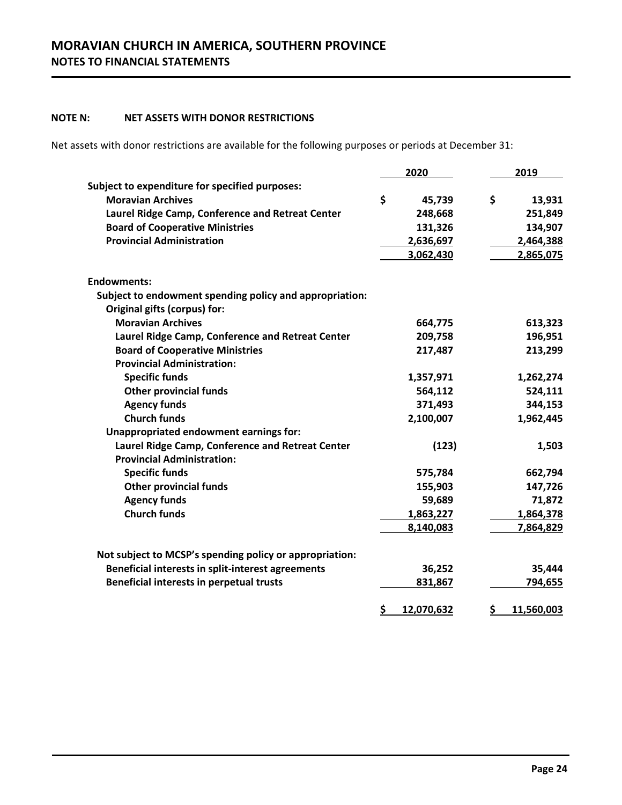#### **NOTE N: NET ASSETS WITH DONOR RESTRICTIONS**

Net assets with donor restrictions are available for the following purposes or periods at December 31:

|                                                         | 2020             | 2019             |
|---------------------------------------------------------|------------------|------------------|
| Subject to expenditure for specified purposes:          |                  |                  |
| <b>Moravian Archives</b>                                | \$<br>45,739     | \$<br>13,931     |
| Laurel Ridge Camp, Conference and Retreat Center        | 248,668          | 251,849          |
| <b>Board of Cooperative Ministries</b>                  | 131,326          | 134,907          |
| <b>Provincial Administration</b>                        | 2,636,697        | 2,464,388        |
|                                                         | 3,062,430        | 2,865,075        |
| <b>Endowments:</b>                                      |                  |                  |
| Subject to endowment spending policy and appropriation: |                  |                  |
| Original gifts (corpus) for:                            |                  |                  |
| <b>Moravian Archives</b>                                | 664,775          | 613,323          |
| Laurel Ridge Camp, Conference and Retreat Center        | 209,758          | 196,951          |
| <b>Board of Cooperative Ministries</b>                  | 217,487          | 213,299          |
| <b>Provincial Administration:</b>                       |                  |                  |
| <b>Specific funds</b>                                   | 1,357,971        | 1,262,274        |
| <b>Other provincial funds</b>                           | 564,112          | 524,111          |
| <b>Agency funds</b>                                     | 371,493          | 344,153          |
| <b>Church funds</b>                                     | 2,100,007        | 1,962,445        |
| Unappropriated endowment earnings for:                  |                  |                  |
| Laurel Ridge Camp, Conference and Retreat Center        | (123)            | 1,503            |
| <b>Provincial Administration:</b>                       |                  |                  |
| <b>Specific funds</b>                                   | 575,784          | 662,794          |
| <b>Other provincial funds</b>                           | 155,903          | 147,726          |
| <b>Agency funds</b>                                     | 59,689           | 71,872           |
| <b>Church funds</b>                                     | 1,863,227        | 1,864,378        |
|                                                         | 8,140,083        | 7,864,829        |
| Not subject to MCSP's spending policy or appropriation: |                  |                  |
| Beneficial interests in split-interest agreements       | 36,252           | 35,444           |
| Beneficial interests in perpetual trusts                | 831,867          | 794,655          |
|                                                         | \$<br>12,070,632 | \$<br>11,560,003 |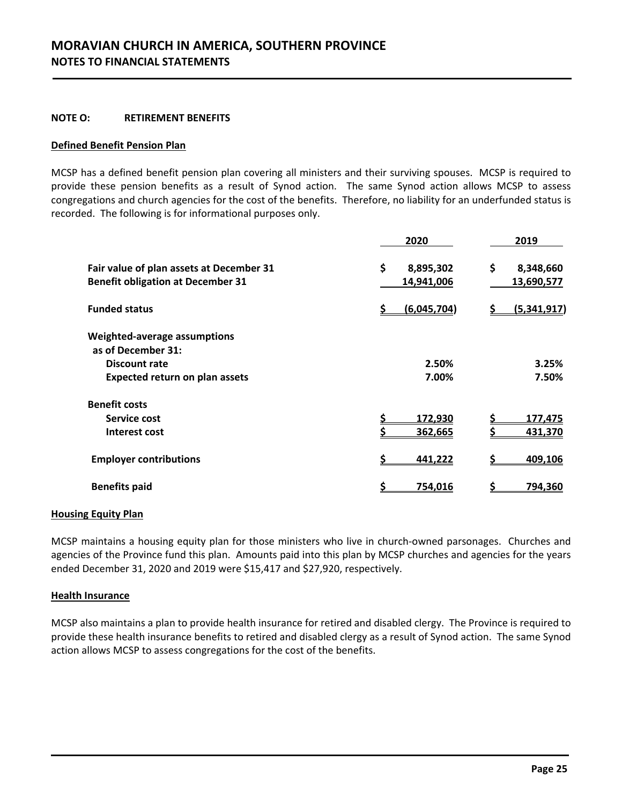#### **NOTE O: RETIREMENT BENEFITS**

#### **Defined Benefit Pension Plan**

MCSP has a defined benefit pension plan covering all ministers and their surviving spouses. MCSP is required to provide these pension benefits as a result of Synod action. The same Synod action allows MCSP to assess congregations and church agencies for the cost of the benefits. Therefore, no liability for an underfunded status is recorded. The following is for informational purposes only.

|                                                                                      | 2020                          | 2019                          |
|--------------------------------------------------------------------------------------|-------------------------------|-------------------------------|
| Fair value of plan assets at December 31<br><b>Benefit obligation at December 31</b> | \$<br>8,895,302<br>14,941,006 | \$<br>8,348,660<br>13,690,577 |
| <b>Funded status</b>                                                                 | (6,045,704)                   | (5,341,917)                   |
| Weighted-average assumptions<br>as of December 31:                                   |                               |                               |
| Discount rate                                                                        | 2.50%                         | 3.25%                         |
| <b>Expected return on plan assets</b>                                                | 7.00%                         | 7.50%                         |
| <b>Benefit costs</b>                                                                 |                               |                               |
| Service cost                                                                         | 172,930                       | 177,475                       |
| Interest cost                                                                        | 362,665                       | 431,370                       |
| <b>Employer contributions</b>                                                        | \$<br>441,222                 | \$<br>409,106                 |
| <b>Benefits paid</b>                                                                 | 754,016                       | 794,360<br>S                  |

#### **Housing Equity Plan**

MCSP maintains a housing equity plan for those ministers who live in church‐owned parsonages. Churches and agencies of the Province fund this plan. Amounts paid into this plan by MCSP churches and agencies for the years ended December 31, 2020 and 2019 were \$15,417 and \$27,920, respectively.

#### **Health Insurance**

MCSP also maintains a plan to provide health insurance for retired and disabled clergy. The Province is required to provide these health insurance benefits to retired and disabled clergy as a result of Synod action. The same Synod action allows MCSP to assess congregations for the cost of the benefits.